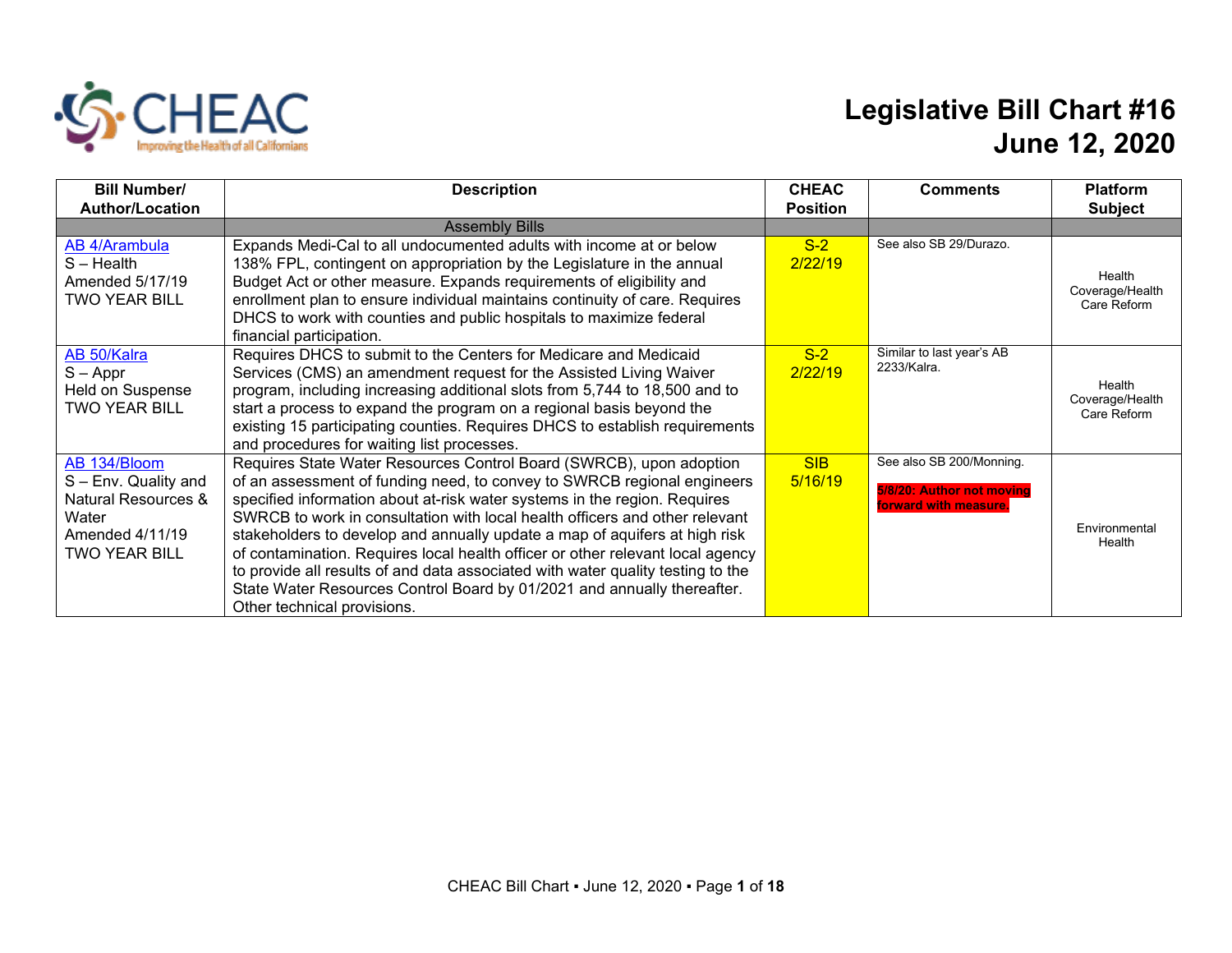

## **Legislative Bill Chart #16 June 12, 2020**

| <b>Bill Number/</b>            | <b>Description</b>                                                              | <b>CHEAC</b>    | <b>Comments</b>           | <b>Platform</b>                |
|--------------------------------|---------------------------------------------------------------------------------|-----------------|---------------------------|--------------------------------|
| <b>Author/Location</b>         |                                                                                 | <b>Position</b> |                           | <b>Subject</b>                 |
|                                | <b>Assembly Bills</b>                                                           |                 |                           |                                |
| AB 4/Arambula                  | Expands Medi-Cal to all undocumented adults with income at or below             | $S-2$           | See also SB 29/Durazo.    |                                |
| $S - Health$                   | 138% FPL, contingent on appropriation by the Legislature in the annual          | 2/22/19         |                           |                                |
| Amended 5/17/19                | Budget Act or other measure. Expands requirements of eligibility and            |                 |                           | Health                         |
| <b>TWO YEAR BILL</b>           | enrollment plan to ensure individual maintains continuity of care. Requires     |                 |                           | Coverage/Health<br>Care Reform |
|                                | DHCS to work with counties and public hospitals to maximize federal             |                 |                           |                                |
|                                | financial participation.                                                        |                 |                           |                                |
| AB 50/Kalra                    | Requires DHCS to submit to the Centers for Medicare and Medicaid                | $S-2$           | Similar to last year's AB |                                |
| $S - Appr$                     | Services (CMS) an amendment request for the Assisted Living Waiver              | 2/22/19         | 2233/Kalra.               |                                |
| Held on Suspense               | program, including increasing additional slots from 5,744 to 18,500 and to      |                 |                           | Health                         |
| <b>TWO YEAR BILL</b>           | start a process to expand the program on a regional basis beyond the            |                 |                           | Coverage/Health<br>Care Reform |
|                                | existing 15 participating counties. Requires DHCS to establish requirements     |                 |                           |                                |
|                                | and procedures for waiting list processes.                                      |                 |                           |                                |
| AB 134/Bloom                   | Requires State Water Resources Control Board (SWRCB), upon adoption             | <b>SIB</b>      | See also SB 200/Monning.  |                                |
| S - Env. Quality and           | of an assessment of funding need, to convey to SWRCB regional engineers         | 5/16/19         | 5/8/20: Author not moving |                                |
| <b>Natural Resources &amp;</b> | specified information about at-risk water systems in the region. Requires       |                 | forward with measure.     |                                |
| Water                          | SWRCB to work in consultation with local health officers and other relevant     |                 |                           |                                |
| Amended 4/11/19                | stakeholders to develop and annually update a map of aquifers at high risk      |                 |                           | Environmental<br>Health        |
| <b>TWO YEAR BILL</b>           | of contamination. Requires local health officer or other relevant local agency  |                 |                           |                                |
|                                | to provide all results of and data associated with water quality testing to the |                 |                           |                                |
|                                | State Water Resources Control Board by 01/2021 and annually thereafter.         |                 |                           |                                |
|                                | Other technical provisions.                                                     |                 |                           |                                |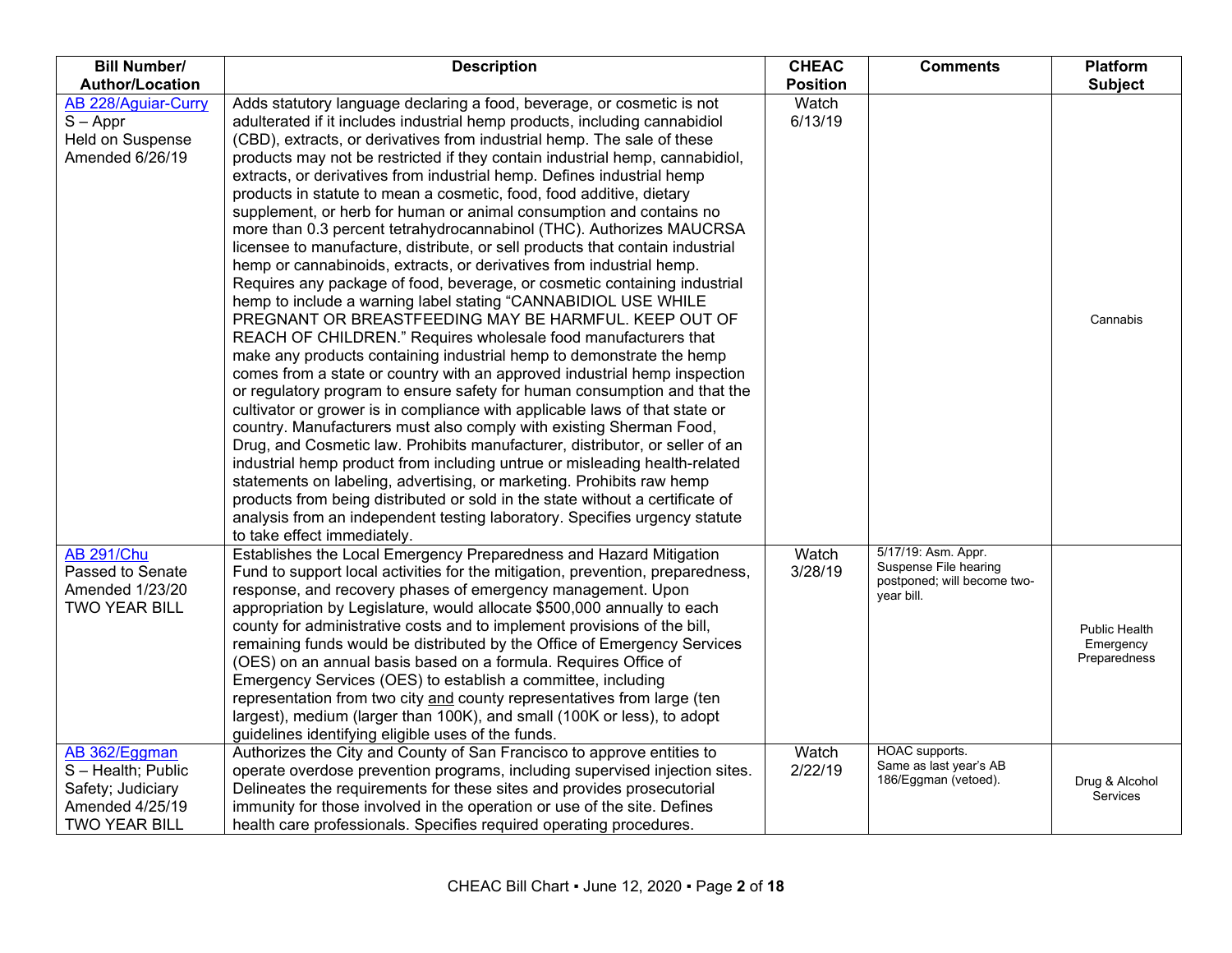| <b>Bill Number/</b>                                                                               | <b>Description</b>                                                                                                                                                                                                                                                                                                                                                                                                                                                                                                                                                                                                                                                                                                                                                                                                                                                                                                                                                                                                                                                                                                                                                                                                                                                                                                                                                                                                                                                                                                                                                                                                                                                                                                                                                                                                                                                               | <b>CHEAC</b>     | <b>Comments</b>                                                                           | <b>Platform</b>                            |
|---------------------------------------------------------------------------------------------------|----------------------------------------------------------------------------------------------------------------------------------------------------------------------------------------------------------------------------------------------------------------------------------------------------------------------------------------------------------------------------------------------------------------------------------------------------------------------------------------------------------------------------------------------------------------------------------------------------------------------------------------------------------------------------------------------------------------------------------------------------------------------------------------------------------------------------------------------------------------------------------------------------------------------------------------------------------------------------------------------------------------------------------------------------------------------------------------------------------------------------------------------------------------------------------------------------------------------------------------------------------------------------------------------------------------------------------------------------------------------------------------------------------------------------------------------------------------------------------------------------------------------------------------------------------------------------------------------------------------------------------------------------------------------------------------------------------------------------------------------------------------------------------------------------------------------------------------------------------------------------------|------------------|-------------------------------------------------------------------------------------------|--------------------------------------------|
| <b>Author/Location</b>                                                                            |                                                                                                                                                                                                                                                                                                                                                                                                                                                                                                                                                                                                                                                                                                                                                                                                                                                                                                                                                                                                                                                                                                                                                                                                                                                                                                                                                                                                                                                                                                                                                                                                                                                                                                                                                                                                                                                                                  | <b>Position</b>  |                                                                                           | <b>Subject</b>                             |
| AB 228/Aguiar-Curry<br>$S - Appr$<br>Held on Suspense<br>Amended 6/26/19                          | Adds statutory language declaring a food, beverage, or cosmetic is not<br>adulterated if it includes industrial hemp products, including cannabidiol<br>(CBD), extracts, or derivatives from industrial hemp. The sale of these<br>products may not be restricted if they contain industrial hemp, cannabidiol,<br>extracts, or derivatives from industrial hemp. Defines industrial hemp<br>products in statute to mean a cosmetic, food, food additive, dietary<br>supplement, or herb for human or animal consumption and contains no<br>more than 0.3 percent tetrahydrocannabinol (THC). Authorizes MAUCRSA<br>licensee to manufacture, distribute, or sell products that contain industrial<br>hemp or cannabinoids, extracts, or derivatives from industrial hemp.<br>Requires any package of food, beverage, or cosmetic containing industrial<br>hemp to include a warning label stating "CANNABIDIOL USE WHILE<br>PREGNANT OR BREASTFEEDING MAY BE HARMFUL. KEEP OUT OF<br>REACH OF CHILDREN." Requires wholesale food manufacturers that<br>make any products containing industrial hemp to demonstrate the hemp<br>comes from a state or country with an approved industrial hemp inspection<br>or regulatory program to ensure safety for human consumption and that the<br>cultivator or grower is in compliance with applicable laws of that state or<br>country. Manufacturers must also comply with existing Sherman Food,<br>Drug, and Cosmetic law. Prohibits manufacturer, distributor, or seller of an<br>industrial hemp product from including untrue or misleading health-related<br>statements on labeling, advertising, or marketing. Prohibits raw hemp<br>products from being distributed or sold in the state without a certificate of<br>analysis from an independent testing laboratory. Specifies urgency statute<br>to take effect immediately. | Watch<br>6/13/19 |                                                                                           | Cannabis                                   |
| <b>AB 291/Chu</b><br>Passed to Senate<br>Amended 1/23/20<br><b>TWO YEAR BILL</b>                  | Establishes the Local Emergency Preparedness and Hazard Mitigation<br>Fund to support local activities for the mitigation, prevention, preparedness,<br>response, and recovery phases of emergency management. Upon<br>appropriation by Legislature, would allocate \$500,000 annually to each<br>county for administrative costs and to implement provisions of the bill,<br>remaining funds would be distributed by the Office of Emergency Services<br>(OES) on an annual basis based on a formula. Requires Office of<br>Emergency Services (OES) to establish a committee, including<br>representation from two city and county representatives from large (ten<br>largest), medium (larger than 100K), and small (100K or less), to adopt<br>guidelines identifying eligible uses of the funds.                                                                                                                                                                                                                                                                                                                                                                                                                                                                                                                                                                                                                                                                                                                                                                                                                                                                                                                                                                                                                                                                            | Watch<br>3/28/19 | 5/17/19: Asm. Appr.<br>Suspense File hearing<br>postponed; will become two-<br>year bill. | Public Health<br>Emergency<br>Preparedness |
| AB 362/Eggman<br>S-Health; Public<br>Safety; Judiciary<br>Amended 4/25/19<br><b>TWO YEAR BILL</b> | Authorizes the City and County of San Francisco to approve entities to<br>operate overdose prevention programs, including supervised injection sites.<br>Delineates the requirements for these sites and provides prosecutorial<br>immunity for those involved in the operation or use of the site. Defines<br>health care professionals. Specifies required operating procedures.                                                                                                                                                                                                                                                                                                                                                                                                                                                                                                                                                                                                                                                                                                                                                                                                                                                                                                                                                                                                                                                                                                                                                                                                                                                                                                                                                                                                                                                                                               | Watch<br>2/22/19 | HOAC supports.<br>Same as last year's AB<br>186/Eggman (vetoed).                          | Drug & Alcohol<br>Services                 |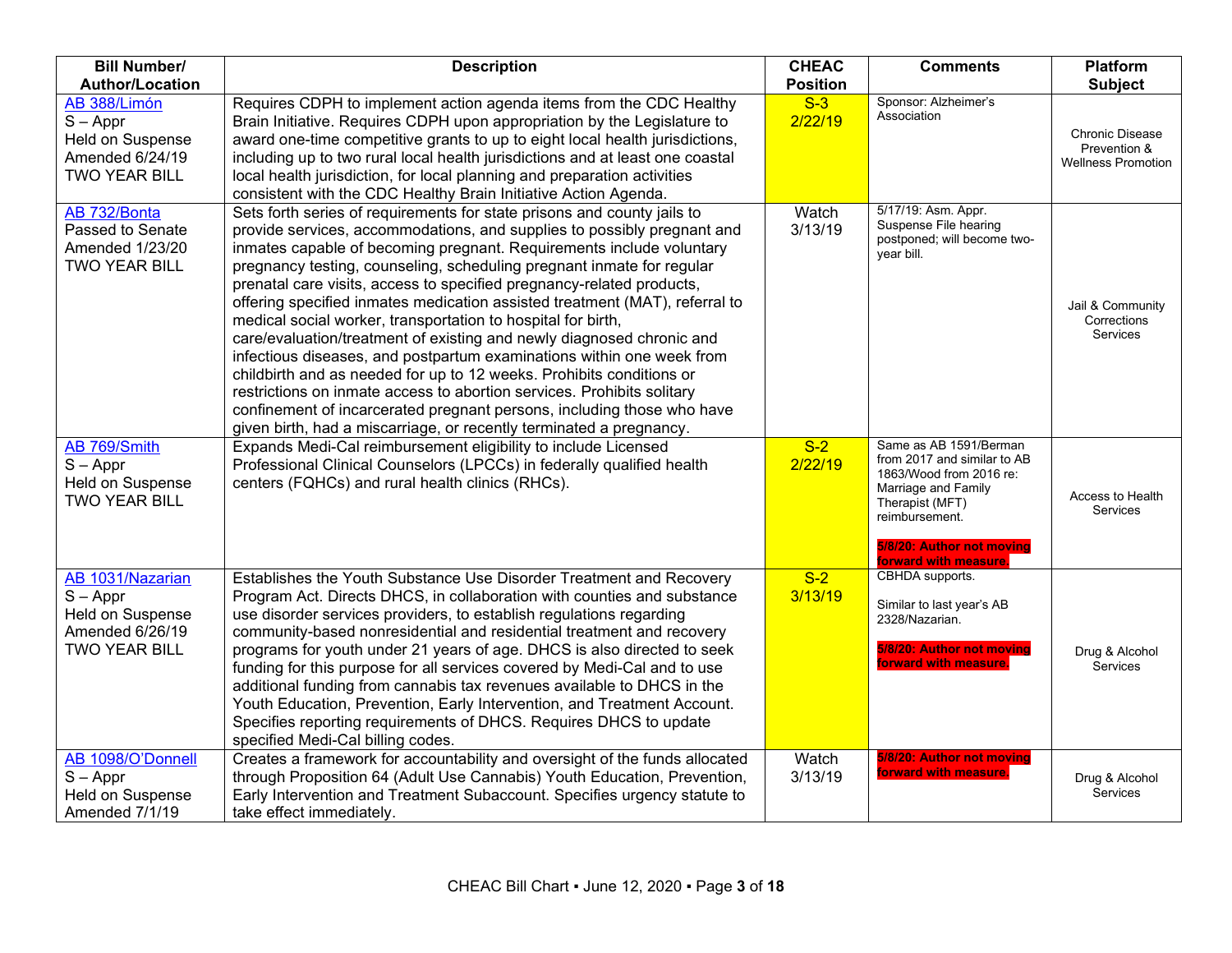| <b>Bill Number/</b><br><b>Author/Location</b>                                                 | <b>Description</b>                                                                                                                                                                                                                                                                                                                                                                                                                                                                                                                                                                                                                                                                                                                                                                                                                                                                                                                                                                                                                                 | <b>CHEAC</b><br><b>Position</b> | <b>Comments</b>                                                                                                                                                          | <b>Platform</b><br><b>Subject</b>                            |
|-----------------------------------------------------------------------------------------------|----------------------------------------------------------------------------------------------------------------------------------------------------------------------------------------------------------------------------------------------------------------------------------------------------------------------------------------------------------------------------------------------------------------------------------------------------------------------------------------------------------------------------------------------------------------------------------------------------------------------------------------------------------------------------------------------------------------------------------------------------------------------------------------------------------------------------------------------------------------------------------------------------------------------------------------------------------------------------------------------------------------------------------------------------|---------------------------------|--------------------------------------------------------------------------------------------------------------------------------------------------------------------------|--------------------------------------------------------------|
| AB 388/Limón<br>$S - Appr$<br>Held on Suspense<br>Amended 6/24/19<br><b>TWO YEAR BILL</b>     | Requires CDPH to implement action agenda items from the CDC Healthy<br>Brain Initiative. Requires CDPH upon appropriation by the Legislature to<br>award one-time competitive grants to up to eight local health jurisdictions,<br>including up to two rural local health jurisdictions and at least one coastal<br>local health jurisdiction, for local planning and preparation activities<br>consistent with the CDC Healthy Brain Initiative Action Agenda.                                                                                                                                                                                                                                                                                                                                                                                                                                                                                                                                                                                    | $S-3$<br>2/22/19                | Sponsor: Alzheimer's<br>Association                                                                                                                                      | Chronic Disease<br>Prevention &<br><b>Wellness Promotion</b> |
| AB 732/Bonta<br>Passed to Senate<br>Amended 1/23/20<br><b>TWO YEAR BILL</b><br>AB 769/Smith   | Sets forth series of requirements for state prisons and county jails to<br>provide services, accommodations, and supplies to possibly pregnant and<br>inmates capable of becoming pregnant. Requirements include voluntary<br>pregnancy testing, counseling, scheduling pregnant inmate for regular<br>prenatal care visits, access to specified pregnancy-related products,<br>offering specified inmates medication assisted treatment (MAT), referral to<br>medical social worker, transportation to hospital for birth,<br>care/evaluation/treatment of existing and newly diagnosed chronic and<br>infectious diseases, and postpartum examinations within one week from<br>childbirth and as needed for up to 12 weeks. Prohibits conditions or<br>restrictions on inmate access to abortion services. Prohibits solitary<br>confinement of incarcerated pregnant persons, including those who have<br>given birth, had a miscarriage, or recently terminated a pregnancy.<br>Expands Medi-Cal reimbursement eligibility to include Licensed | Watch<br>3/13/19<br>$S-2$       | 5/17/19: Asm. Appr.<br>Suspense File hearing<br>postponed; will become two-<br>vear bill.<br>Same as AB 1591/Berman                                                      | Jail & Community<br>Corrections<br>Services                  |
| $S - Appr$<br>Held on Suspense<br><b>TWO YEAR BILL</b>                                        | Professional Clinical Counselors (LPCCs) in federally qualified health<br>centers (FQHCs) and rural health clinics (RHCs).                                                                                                                                                                                                                                                                                                                                                                                                                                                                                                                                                                                                                                                                                                                                                                                                                                                                                                                         | 2/22/19                         | from 2017 and similar to AB<br>1863/Wood from 2016 re:<br>Marriage and Family<br>Therapist (MFT)<br>reimbursement.<br>5/8/20: Author not moving<br>forward with measure. | Access to Health<br>Services                                 |
| AB 1031/Nazarian<br>$S - Appr$<br>Held on Suspense<br>Amended 6/26/19<br><b>TWO YEAR BILL</b> | Establishes the Youth Substance Use Disorder Treatment and Recovery<br>Program Act. Directs DHCS, in collaboration with counties and substance<br>use disorder services providers, to establish regulations regarding<br>community-based nonresidential and residential treatment and recovery<br>programs for youth under 21 years of age. DHCS is also directed to seek<br>funding for this purpose for all services covered by Medi-Cal and to use<br>additional funding from cannabis tax revenues available to DHCS in the<br>Youth Education, Prevention, Early Intervention, and Treatment Account.<br>Specifies reporting requirements of DHCS. Requires DHCS to update<br>specified Medi-Cal billing codes.                                                                                                                                                                                                                                                                                                                               | $S-2$<br>3/13/19                | CBHDA supports.<br>Similar to last year's AB<br>2328/Nazarian.<br>5/8/20: Author not moving<br>forward with measure.                                                     | Drug & Alcohol<br><b>Services</b>                            |
| AB 1098/O'Donnell<br>$S - Appr$<br>Held on Suspense<br>Amended 7/1/19                         | Creates a framework for accountability and oversight of the funds allocated<br>through Proposition 64 (Adult Use Cannabis) Youth Education, Prevention,<br>Early Intervention and Treatment Subaccount. Specifies urgency statute to<br>take effect immediately.                                                                                                                                                                                                                                                                                                                                                                                                                                                                                                                                                                                                                                                                                                                                                                                   | Watch<br>3/13/19                | 5/8/20: Author not moving<br>forward with measure.                                                                                                                       | Drug & Alcohol<br>Services                                   |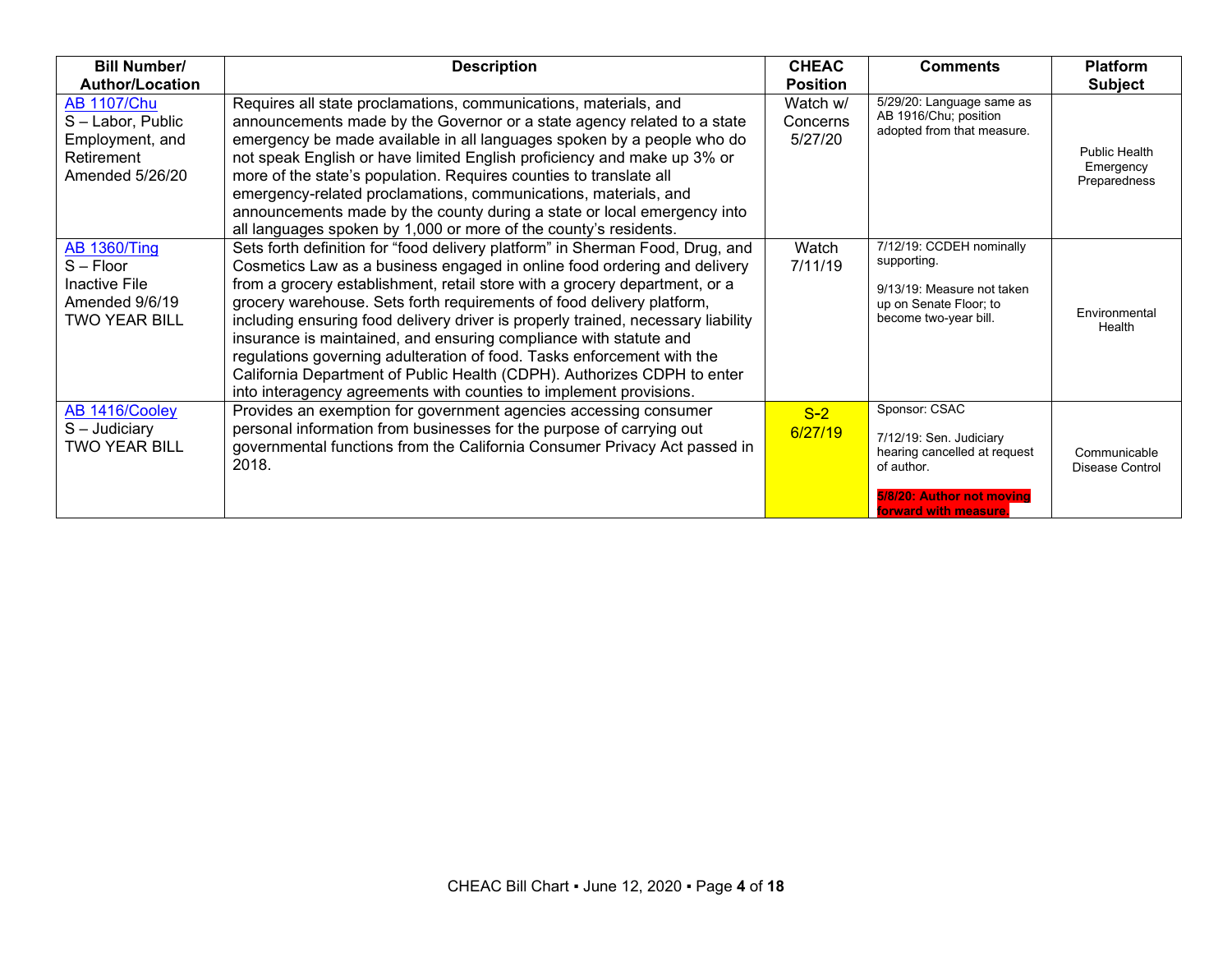| <b>Bill Number/</b>                                                                           | <b>Description</b>                                                                                                                                                                                                                                                                                                                                                                                                                                                                                                                                                                                                                                                                                   | <b>CHEAC</b>                    | <b>Comments</b>                                                                                                                              | <b>Platform</b>                                   |
|-----------------------------------------------------------------------------------------------|------------------------------------------------------------------------------------------------------------------------------------------------------------------------------------------------------------------------------------------------------------------------------------------------------------------------------------------------------------------------------------------------------------------------------------------------------------------------------------------------------------------------------------------------------------------------------------------------------------------------------------------------------------------------------------------------------|---------------------------------|----------------------------------------------------------------------------------------------------------------------------------------------|---------------------------------------------------|
| <b>Author/Location</b>                                                                        |                                                                                                                                                                                                                                                                                                                                                                                                                                                                                                                                                                                                                                                                                                      | <b>Position</b>                 |                                                                                                                                              | <b>Subject</b>                                    |
| <b>AB 1107/Chu</b><br>S-Labor, Public<br>Employment, and<br>Retirement<br>Amended 5/26/20     | Requires all state proclamations, communications, materials, and<br>announcements made by the Governor or a state agency related to a state<br>emergency be made available in all languages spoken by a people who do<br>not speak English or have limited English proficiency and make up 3% or<br>more of the state's population. Requires counties to translate all<br>emergency-related proclamations, communications, materials, and<br>announcements made by the county during a state or local emergency into<br>all languages spoken by 1,000 or more of the county's residents.                                                                                                             | Watch w/<br>Concerns<br>5/27/20 | 5/29/20: Language same as<br>AB 1916/Chu; position<br>adopted from that measure.                                                             | <b>Public Health</b><br>Emergency<br>Preparedness |
| <b>AB 1360/Ting</b><br>$S - Floor$<br>Inactive File<br>Amended 9/6/19<br><b>TWO YEAR BILL</b> | Sets forth definition for "food delivery platform" in Sherman Food, Drug, and<br>Cosmetics Law as a business engaged in online food ordering and delivery<br>from a grocery establishment, retail store with a grocery department, or a<br>grocery warehouse. Sets forth requirements of food delivery platform,<br>including ensuring food delivery driver is properly trained, necessary liability<br>insurance is maintained, and ensuring compliance with statute and<br>regulations governing adulteration of food. Tasks enforcement with the<br>California Department of Public Health (CDPH). Authorizes CDPH to enter<br>into interagency agreements with counties to implement provisions. | Watch<br>7/11/19                | 7/12/19: CCDEH nominally<br>supporting.<br>9/13/19: Measure not taken<br>up on Senate Floor; to<br>become two-year bill.                     | Environmental<br>Health                           |
| AB 1416/Cooley<br>$S -$ Judiciary<br><b>TWO YEAR BILL</b>                                     | Provides an exemption for government agencies accessing consumer<br>personal information from businesses for the purpose of carrying out<br>governmental functions from the California Consumer Privacy Act passed in<br>2018.                                                                                                                                                                                                                                                                                                                                                                                                                                                                       | $S-2$<br>6/27/19                | Sponsor: CSAC<br>7/12/19: Sen. Judiciary<br>hearing cancelled at request<br>of author.<br>5/8/20; Author not moving<br>forward with measure. | Communicable<br>Disease Control                   |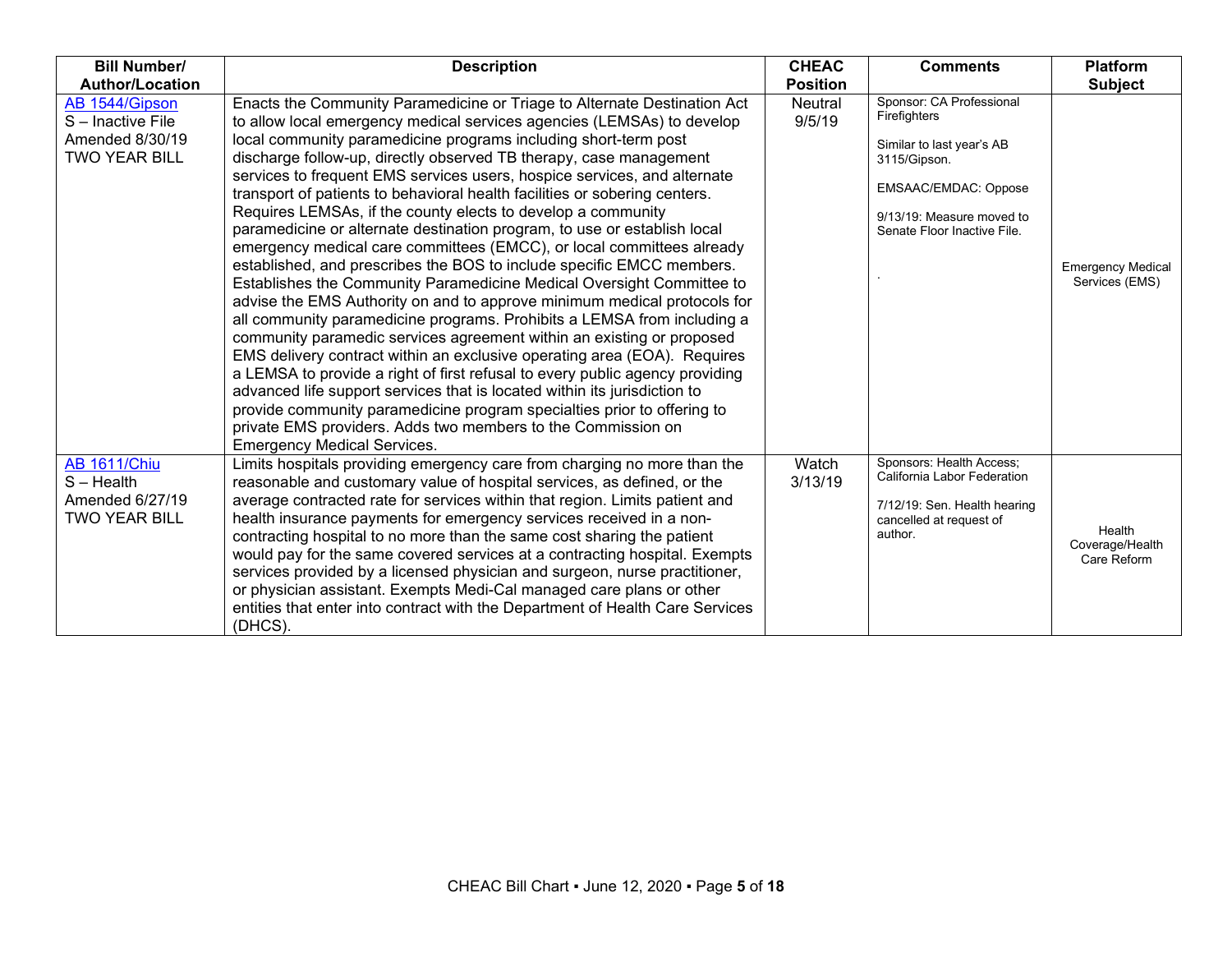| <b>Bill Number/</b>                                                            | <b>Description</b>                                                                                                                                                                                                                                                                                                                                                                                                                                                                                                                                                                                                                                                                                                                                                                                                                                                                                                                                                                                                                                                                                                                                                                                                                                                                                                                                                                                                                                                                     | <b>CHEAC</b>             | <b>Comments</b>                                                                                                                                                                  | <b>Platform</b>                            |
|--------------------------------------------------------------------------------|----------------------------------------------------------------------------------------------------------------------------------------------------------------------------------------------------------------------------------------------------------------------------------------------------------------------------------------------------------------------------------------------------------------------------------------------------------------------------------------------------------------------------------------------------------------------------------------------------------------------------------------------------------------------------------------------------------------------------------------------------------------------------------------------------------------------------------------------------------------------------------------------------------------------------------------------------------------------------------------------------------------------------------------------------------------------------------------------------------------------------------------------------------------------------------------------------------------------------------------------------------------------------------------------------------------------------------------------------------------------------------------------------------------------------------------------------------------------------------------|--------------------------|----------------------------------------------------------------------------------------------------------------------------------------------------------------------------------|--------------------------------------------|
| <b>Author/Location</b>                                                         |                                                                                                                                                                                                                                                                                                                                                                                                                                                                                                                                                                                                                                                                                                                                                                                                                                                                                                                                                                                                                                                                                                                                                                                                                                                                                                                                                                                                                                                                                        | <b>Position</b>          |                                                                                                                                                                                  | <b>Subject</b>                             |
| AB 1544/Gipson<br>S-Inactive File<br>Amended 8/30/19<br><b>TWO YEAR BILL</b>   | Enacts the Community Paramedicine or Triage to Alternate Destination Act<br>to allow local emergency medical services agencies (LEMSAs) to develop<br>local community paramedicine programs including short-term post<br>discharge follow-up, directly observed TB therapy, case management<br>services to frequent EMS services users, hospice services, and alternate<br>transport of patients to behavioral health facilities or sobering centers.<br>Requires LEMSAs, if the county elects to develop a community<br>paramedicine or alternate destination program, to use or establish local<br>emergency medical care committees (EMCC), or local committees already<br>established, and prescribes the BOS to include specific EMCC members.<br>Establishes the Community Paramedicine Medical Oversight Committee to<br>advise the EMS Authority on and to approve minimum medical protocols for<br>all community paramedicine programs. Prohibits a LEMSA from including a<br>community paramedic services agreement within an existing or proposed<br>EMS delivery contract within an exclusive operating area (EOA). Requires<br>a LEMSA to provide a right of first refusal to every public agency providing<br>advanced life support services that is located within its jurisdiction to<br>provide community paramedicine program specialties prior to offering to<br>private EMS providers. Adds two members to the Commission on<br><b>Emergency Medical Services.</b> | <b>Neutral</b><br>9/5/19 | Sponsor: CA Professional<br>Firefighters<br>Similar to last year's AB<br>3115/Gipson.<br><b>EMSAAC/EMDAC: Oppose</b><br>9/13/19: Measure moved to<br>Senate Floor Inactive File. | <b>Emergency Medical</b><br>Services (EMS) |
| <b>AB 1611/Chiu</b><br>$S - Health$<br>Amended 6/27/19<br><b>TWO YEAR BILL</b> | Limits hospitals providing emergency care from charging no more than the<br>reasonable and customary value of hospital services, as defined, or the<br>average contracted rate for services within that region. Limits patient and<br>health insurance payments for emergency services received in a non-<br>contracting hospital to no more than the same cost sharing the patient<br>would pay for the same covered services at a contracting hospital. Exempts<br>services provided by a licensed physician and surgeon, nurse practitioner,<br>or physician assistant. Exempts Medi-Cal managed care plans or other<br>entities that enter into contract with the Department of Health Care Services<br>(DHCS).                                                                                                                                                                                                                                                                                                                                                                                                                                                                                                                                                                                                                                                                                                                                                                    | Watch<br>3/13/19         | Sponsors: Health Access;<br>California Labor Federation<br>7/12/19: Sen. Health hearing<br>cancelled at request of<br>author.                                                    | Health<br>Coverage/Health<br>Care Reform   |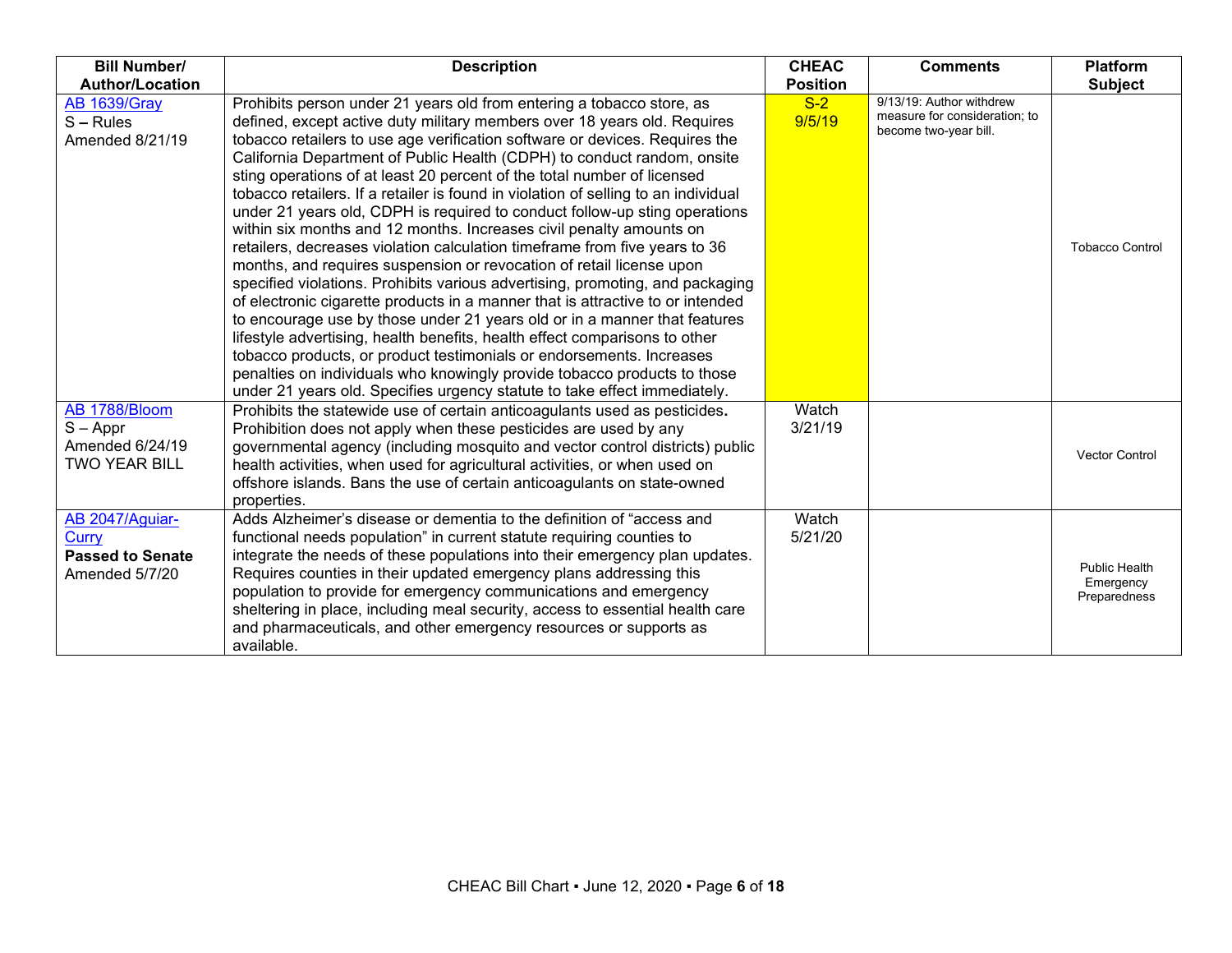| <b>Bill Number/</b>                                                    | <b>Description</b>                                                                                                                                                                                                                                                                                                                                                                                                                                                                                                                                                                                                                                                                                                                                                                                                                                                                                                                                                                                                                                                                                                                                                                                                                                                                                                                                     | <b>CHEAC</b>     | <b>Comments</b>                                                                    | <b>Platform</b>                                   |
|------------------------------------------------------------------------|--------------------------------------------------------------------------------------------------------------------------------------------------------------------------------------------------------------------------------------------------------------------------------------------------------------------------------------------------------------------------------------------------------------------------------------------------------------------------------------------------------------------------------------------------------------------------------------------------------------------------------------------------------------------------------------------------------------------------------------------------------------------------------------------------------------------------------------------------------------------------------------------------------------------------------------------------------------------------------------------------------------------------------------------------------------------------------------------------------------------------------------------------------------------------------------------------------------------------------------------------------------------------------------------------------------------------------------------------------|------------------|------------------------------------------------------------------------------------|---------------------------------------------------|
| <b>Author/Location</b>                                                 |                                                                                                                                                                                                                                                                                                                                                                                                                                                                                                                                                                                                                                                                                                                                                                                                                                                                                                                                                                                                                                                                                                                                                                                                                                                                                                                                                        | <b>Position</b>  |                                                                                    | <b>Subject</b>                                    |
| <b>AB 1639/Gray</b><br>$S - Rules$<br>Amended 8/21/19                  | Prohibits person under 21 years old from entering a tobacco store, as<br>defined, except active duty military members over 18 years old. Requires<br>tobacco retailers to use age verification software or devices. Requires the<br>California Department of Public Health (CDPH) to conduct random, onsite<br>sting operations of at least 20 percent of the total number of licensed<br>tobacco retailers. If a retailer is found in violation of selling to an individual<br>under 21 years old, CDPH is required to conduct follow-up sting operations<br>within six months and 12 months. Increases civil penalty amounts on<br>retailers, decreases violation calculation timeframe from five years to 36<br>months, and requires suspension or revocation of retail license upon<br>specified violations. Prohibits various advertising, promoting, and packaging<br>of electronic cigarette products in a manner that is attractive to or intended<br>to encourage use by those under 21 years old or in a manner that features<br>lifestyle advertising, health benefits, health effect comparisons to other<br>tobacco products, or product testimonials or endorsements. Increases<br>penalties on individuals who knowingly provide tobacco products to those<br>under 21 years old. Specifies urgency statute to take effect immediately. | $S-2$<br>9/5/19  | 9/13/19: Author withdrew<br>measure for consideration: to<br>become two-year bill. | <b>Tobacco Control</b>                            |
| AB 1788/Bloom<br>$S - Appr$<br>Amended 6/24/19<br><b>TWO YEAR BILL</b> | Prohibits the statewide use of certain anticoagulants used as pesticides.<br>Prohibition does not apply when these pesticides are used by any<br>governmental agency (including mosquito and vector control districts) public<br>health activities, when used for agricultural activities, or when used on<br>offshore islands. Bans the use of certain anticoagulants on state-owned<br>properties.                                                                                                                                                                                                                                                                                                                                                                                                                                                                                                                                                                                                                                                                                                                                                                                                                                                                                                                                                   | Watch<br>3/21/19 |                                                                                    | <b>Vector Control</b>                             |
| AB 2047/Aquiar-<br>Curry<br><b>Passed to Senate</b><br>Amended 5/7/20  | Adds Alzheimer's disease or dementia to the definition of "access and<br>functional needs population" in current statute requiring counties to<br>integrate the needs of these populations into their emergency plan updates.<br>Requires counties in their updated emergency plans addressing this<br>population to provide for emergency communications and emergency<br>sheltering in place, including meal security, access to essential health care<br>and pharmaceuticals, and other emergency resources or supports as<br>available.                                                                                                                                                                                                                                                                                                                                                                                                                                                                                                                                                                                                                                                                                                                                                                                                            | Watch<br>5/21/20 |                                                                                    | <b>Public Health</b><br>Emergency<br>Preparedness |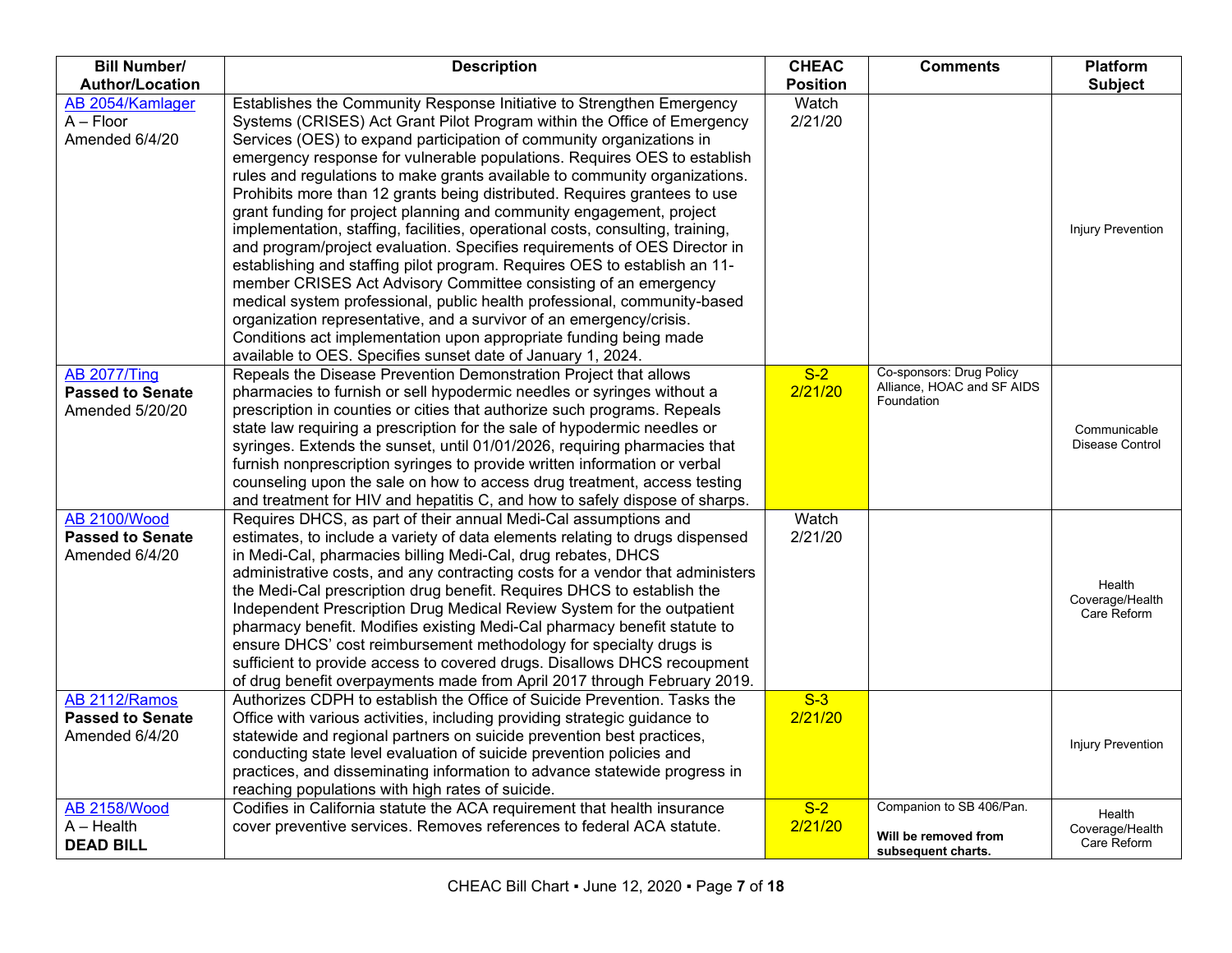| <b>Bill Number/</b>                                                               | <b>Description</b>                                                                                                                                                                                                                                                                                                                                                                                                                                                                                                                                                                                                                                                                                                                                                                                                                                                                                                                                                                                                                                                                                                                            | <b>CHEAC</b>              | <b>Comments</b>                                                      | <b>Platform</b>                          |
|-----------------------------------------------------------------------------------|-----------------------------------------------------------------------------------------------------------------------------------------------------------------------------------------------------------------------------------------------------------------------------------------------------------------------------------------------------------------------------------------------------------------------------------------------------------------------------------------------------------------------------------------------------------------------------------------------------------------------------------------------------------------------------------------------------------------------------------------------------------------------------------------------------------------------------------------------------------------------------------------------------------------------------------------------------------------------------------------------------------------------------------------------------------------------------------------------------------------------------------------------|---------------------------|----------------------------------------------------------------------|------------------------------------------|
| <b>Author/Location</b>                                                            |                                                                                                                                                                                                                                                                                                                                                                                                                                                                                                                                                                                                                                                                                                                                                                                                                                                                                                                                                                                                                                                                                                                                               | <b>Position</b>           |                                                                      | <b>Subject</b>                           |
| AB 2054/Kamlager<br>$A - Floor$<br>Amended 6/4/20                                 | Establishes the Community Response Initiative to Strengthen Emergency<br>Systems (CRISES) Act Grant Pilot Program within the Office of Emergency<br>Services (OES) to expand participation of community organizations in<br>emergency response for vulnerable populations. Requires OES to establish<br>rules and regulations to make grants available to community organizations.<br>Prohibits more than 12 grants being distributed. Requires grantees to use<br>grant funding for project planning and community engagement, project<br>implementation, staffing, facilities, operational costs, consulting, training,<br>and program/project evaluation. Specifies requirements of OES Director in<br>establishing and staffing pilot program. Requires OES to establish an 11-<br>member CRISES Act Advisory Committee consisting of an emergency<br>medical system professional, public health professional, community-based<br>organization representative, and a survivor of an emergency/crisis.<br>Conditions act implementation upon appropriate funding being made<br>available to OES. Specifies sunset date of January 1, 2024. | Watch<br>2/21/20          |                                                                      | Injury Prevention                        |
| <b>AB 2077/Ting</b><br><b>Passed to Senate</b><br>Amended 5/20/20                 | Repeals the Disease Prevention Demonstration Project that allows<br>pharmacies to furnish or sell hypodermic needles or syringes without a<br>prescription in counties or cities that authorize such programs. Repeals<br>state law requiring a prescription for the sale of hypodermic needles or<br>syringes. Extends the sunset, until 01/01/2026, requiring pharmacies that<br>furnish nonprescription syringes to provide written information or verbal<br>counseling upon the sale on how to access drug treatment, access testing<br>and treatment for HIV and hepatitis C, and how to safely dispose of sharps.                                                                                                                                                                                                                                                                                                                                                                                                                                                                                                                       | $S-2$<br>2/21/20          | Co-sponsors: Drug Policy<br>Alliance, HOAC and SF AIDS<br>Foundation | Communicable<br>Disease Control          |
| <b>AB 2100/Wood</b><br><b>Passed to Senate</b><br>Amended 6/4/20                  | Requires DHCS, as part of their annual Medi-Cal assumptions and<br>estimates, to include a variety of data elements relating to drugs dispensed<br>in Medi-Cal, pharmacies billing Medi-Cal, drug rebates, DHCS<br>administrative costs, and any contracting costs for a vendor that administers<br>the Medi-Cal prescription drug benefit. Requires DHCS to establish the<br>Independent Prescription Drug Medical Review System for the outpatient<br>pharmacy benefit. Modifies existing Medi-Cal pharmacy benefit statute to<br>ensure DHCS' cost reimbursement methodology for specialty drugs is<br>sufficient to provide access to covered drugs. Disallows DHCS recoupment<br>of drug benefit overpayments made from April 2017 through February 2019.                                                                                                                                                                                                                                                                                                                                                                                | Watch<br>2/21/20          |                                                                      | Health<br>Coverage/Health<br>Care Reform |
| AB 2112/Ramos<br><b>Passed to Senate</b><br>Amended 6/4/20<br><b>AB 2158/Wood</b> | Authorizes CDPH to establish the Office of Suicide Prevention. Tasks the<br>Office with various activities, including providing strategic guidance to<br>statewide and regional partners on suicide prevention best practices,<br>conducting state level evaluation of suicide prevention policies and<br>practices, and disseminating information to advance statewide progress in<br>reaching populations with high rates of suicide.<br>Codifies in California statute the ACA requirement that health insurance                                                                                                                                                                                                                                                                                                                                                                                                                                                                                                                                                                                                                           | $S-3$<br>2/21/20<br>$S-2$ | Companion to SB 406/Pan.                                             | <b>Injury Prevention</b><br>Health       |
| $A - Health$<br><b>DEAD BILL</b>                                                  | cover preventive services. Removes references to federal ACA statute.                                                                                                                                                                                                                                                                                                                                                                                                                                                                                                                                                                                                                                                                                                                                                                                                                                                                                                                                                                                                                                                                         | 2/21/20                   | Will be removed from<br>subsequent charts.                           | Coverage/Health<br>Care Reform           |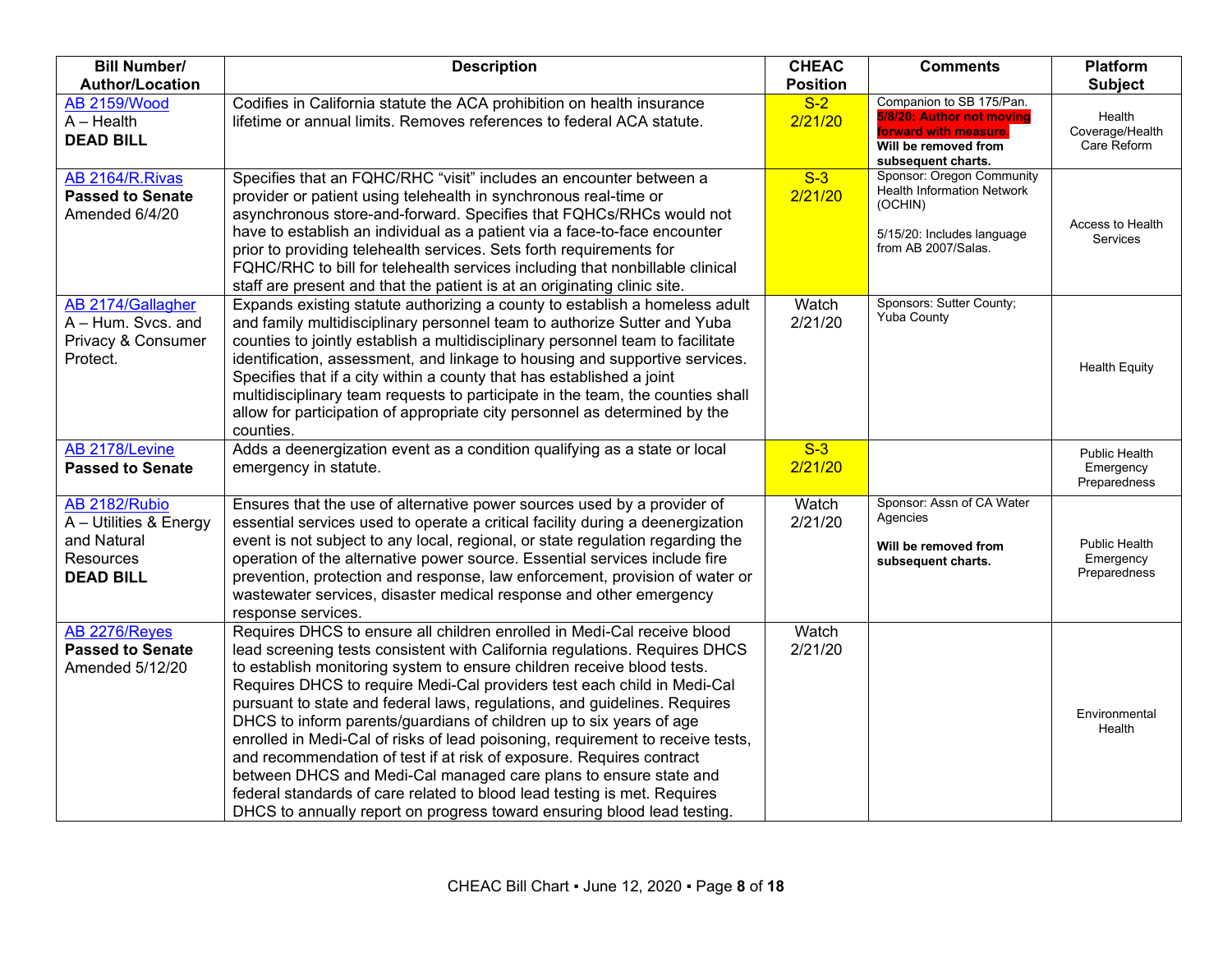| <b>Bill Number/</b><br><b>Author/Location</b>                                           | <b>Description</b>                                                                                                                                                                                                                                                                                                                                                                                                                                                                                                                                                                                                                                                                                                                                                                                                                                  | <b>CHEAC</b><br><b>Position</b> | <b>Comments</b>                                                                                                                | <b>Platform</b><br><b>Subject</b>          |
|-----------------------------------------------------------------------------------------|-----------------------------------------------------------------------------------------------------------------------------------------------------------------------------------------------------------------------------------------------------------------------------------------------------------------------------------------------------------------------------------------------------------------------------------------------------------------------------------------------------------------------------------------------------------------------------------------------------------------------------------------------------------------------------------------------------------------------------------------------------------------------------------------------------------------------------------------------------|---------------------------------|--------------------------------------------------------------------------------------------------------------------------------|--------------------------------------------|
| <b>AB 2159/Wood</b><br>$A - Health$<br><b>DEAD BILL</b>                                 | Codifies in California statute the ACA prohibition on health insurance<br>lifetime or annual limits. Removes references to federal ACA statute.                                                                                                                                                                                                                                                                                                                                                                                                                                                                                                                                                                                                                                                                                                     | $S-2$<br>2/21/20                | Companion to SB 175/Pan.<br>5/8/20: Author not moving<br>forward with measure.<br>Will be removed from<br>subsequent charts.   | Health<br>Coverage/Health<br>Care Reform   |
| AB 2164/R.Rivas<br><b>Passed to Senate</b><br>Amended 6/4/20                            | Specifies that an FQHC/RHC "visit" includes an encounter between a<br>provider or patient using telehealth in synchronous real-time or<br>asynchronous store-and-forward. Specifies that FQHCs/RHCs would not<br>have to establish an individual as a patient via a face-to-face encounter<br>prior to providing telehealth services. Sets forth requirements for<br>FQHC/RHC to bill for telehealth services including that nonbillable clinical<br>staff are present and that the patient is at an originating clinic site.                                                                                                                                                                                                                                                                                                                       | $S-3$<br>2/21/20                | Sponsor: Oregon Community<br><b>Health Information Network</b><br>(OCHIN)<br>5/15/20: Includes language<br>from AB 2007/Salas. | Access to Health<br>Services               |
| AB 2174/Gallagher<br>A - Hum. Svcs. and<br>Privacy & Consumer<br>Protect.               | Expands existing statute authorizing a county to establish a homeless adult<br>and family multidisciplinary personnel team to authorize Sutter and Yuba<br>counties to jointly establish a multidisciplinary personnel team to facilitate<br>identification, assessment, and linkage to housing and supportive services.<br>Specifies that if a city within a county that has established a joint<br>multidisciplinary team requests to participate in the team, the counties shall<br>allow for participation of appropriate city personnel as determined by the<br>counties.                                                                                                                                                                                                                                                                      | Watch<br>2/21/20                | Sponsors: Sutter County;<br><b>Yuba County</b>                                                                                 | <b>Health Equity</b>                       |
| AB 2178/Levine<br><b>Passed to Senate</b>                                               | Adds a deenergization event as a condition qualifying as a state or local<br>emergency in statute.                                                                                                                                                                                                                                                                                                                                                                                                                                                                                                                                                                                                                                                                                                                                                  | $S-3$<br>2/21/20                |                                                                                                                                | Public Health<br>Emergency<br>Preparedness |
| AB 2182/Rubio<br>A - Utilities & Energy<br>and Natural<br>Resources<br><b>DEAD BILL</b> | Ensures that the use of alternative power sources used by a provider of<br>essential services used to operate a critical facility during a deenergization<br>event is not subject to any local, regional, or state regulation regarding the<br>operation of the alternative power source. Essential services include fire<br>prevention, protection and response, law enforcement, provision of water or<br>wastewater services, disaster medical response and other emergency<br>response services.                                                                                                                                                                                                                                                                                                                                                | Watch<br>2/21/20                | Sponsor: Assn of CA Water<br>Agencies<br>Will be removed from<br>subsequent charts.                                            | Public Health<br>Emergency<br>Preparedness |
| AB 2276/Reyes<br><b>Passed to Senate</b><br>Amended 5/12/20                             | Requires DHCS to ensure all children enrolled in Medi-Cal receive blood<br>lead screening tests consistent with California regulations. Requires DHCS<br>to establish monitoring system to ensure children receive blood tests.<br>Requires DHCS to require Medi-Cal providers test each child in Medi-Cal<br>pursuant to state and federal laws, regulations, and guidelines. Requires<br>DHCS to inform parents/guardians of children up to six years of age<br>enrolled in Medi-Cal of risks of lead poisoning, requirement to receive tests,<br>and recommendation of test if at risk of exposure. Requires contract<br>between DHCS and Medi-Cal managed care plans to ensure state and<br>federal standards of care related to blood lead testing is met. Requires<br>DHCS to annually report on progress toward ensuring blood lead testing. | Watch<br>2/21/20                |                                                                                                                                | Environmental<br>Health                    |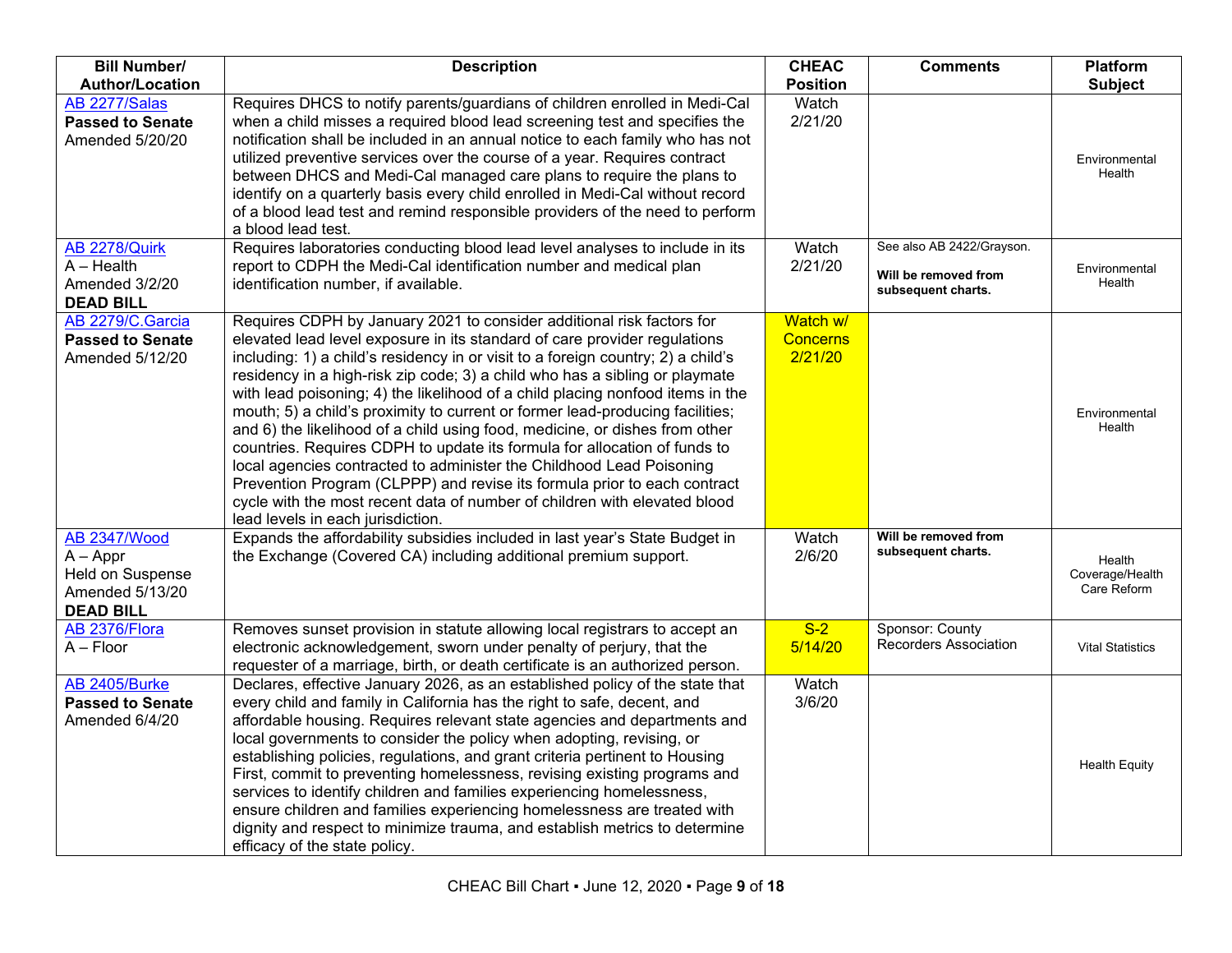| <b>Bill Number/</b>                                                                          | <b>Description</b>                                                                                                                                                                                                                                                                                                                                                                                                                                                                                                                                                                                                                                                                                                                                                                                                                                                                                                         | <b>CHEAC</b>                           | <b>Comments</b>                                                         | Platform                                 |
|----------------------------------------------------------------------------------------------|----------------------------------------------------------------------------------------------------------------------------------------------------------------------------------------------------------------------------------------------------------------------------------------------------------------------------------------------------------------------------------------------------------------------------------------------------------------------------------------------------------------------------------------------------------------------------------------------------------------------------------------------------------------------------------------------------------------------------------------------------------------------------------------------------------------------------------------------------------------------------------------------------------------------------|----------------------------------------|-------------------------------------------------------------------------|------------------------------------------|
| <b>Author/Location</b>                                                                       |                                                                                                                                                                                                                                                                                                                                                                                                                                                                                                                                                                                                                                                                                                                                                                                                                                                                                                                            | <b>Position</b>                        |                                                                         | <b>Subject</b>                           |
| AB 2277/Salas<br><b>Passed to Senate</b><br>Amended 5/20/20                                  | Requires DHCS to notify parents/guardians of children enrolled in Medi-Cal<br>when a child misses a required blood lead screening test and specifies the<br>notification shall be included in an annual notice to each family who has not<br>utilized preventive services over the course of a year. Requires contract<br>between DHCS and Medi-Cal managed care plans to require the plans to<br>identify on a quarterly basis every child enrolled in Medi-Cal without record<br>of a blood lead test and remind responsible providers of the need to perform<br>a blood lead test.                                                                                                                                                                                                                                                                                                                                      | Watch<br>2/21/20                       |                                                                         | Environmental<br>Health                  |
| AB 2278/Quirk<br>$A - Health$<br>Amended 3/2/20<br><b>DEAD BILL</b>                          | Requires laboratories conducting blood lead level analyses to include in its<br>report to CDPH the Medi-Cal identification number and medical plan<br>identification number, if available.                                                                                                                                                                                                                                                                                                                                                                                                                                                                                                                                                                                                                                                                                                                                 | Watch<br>2/21/20                       | See also AB 2422/Grayson.<br>Will be removed from<br>subsequent charts. | Environmental<br>Health                  |
| AB 2279/C.Garcia<br><b>Passed to Senate</b><br>Amended 5/12/20                               | Requires CDPH by January 2021 to consider additional risk factors for<br>elevated lead level exposure in its standard of care provider regulations<br>including: 1) a child's residency in or visit to a foreign country; 2) a child's<br>residency in a high-risk zip code; 3) a child who has a sibling or playmate<br>with lead poisoning; 4) the likelihood of a child placing nonfood items in the<br>mouth; 5) a child's proximity to current or former lead-producing facilities;<br>and 6) the likelihood of a child using food, medicine, or dishes from other<br>countries. Requires CDPH to update its formula for allocation of funds to<br>local agencies contracted to administer the Childhood Lead Poisoning<br>Prevention Program (CLPPP) and revise its formula prior to each contract<br>cycle with the most recent data of number of children with elevated blood<br>lead levels in each jurisdiction. | Watch w/<br><b>Concerns</b><br>2/21/20 |                                                                         | Environmental<br>Health                  |
| <b>AB 2347/Wood</b><br>$A - Appr$<br>Held on Suspense<br>Amended 5/13/20<br><b>DEAD BILL</b> | Expands the affordability subsidies included in last year's State Budget in<br>the Exchange (Covered CA) including additional premium support.                                                                                                                                                                                                                                                                                                                                                                                                                                                                                                                                                                                                                                                                                                                                                                             | Watch<br>2/6/20                        | Will be removed from<br>subsequent charts.                              | Health<br>Coverage/Health<br>Care Reform |
| AB 2376/Flora<br>$A - Floor$                                                                 | Removes sunset provision in statute allowing local registrars to accept an<br>electronic acknowledgement, sworn under penalty of perjury, that the<br>requester of a marriage, birth, or death certificate is an authorized person.                                                                                                                                                                                                                                                                                                                                                                                                                                                                                                                                                                                                                                                                                        | $S-2$<br>5/14/20                       | Sponsor: County<br><b>Recorders Association</b>                         | <b>Vital Statistics</b>                  |
| AB 2405/Burke<br><b>Passed to Senate</b><br>Amended 6/4/20                                   | Declares, effective January 2026, as an established policy of the state that<br>every child and family in California has the right to safe, decent, and<br>affordable housing. Requires relevant state agencies and departments and<br>local governments to consider the policy when adopting, revising, or<br>establishing policies, regulations, and grant criteria pertinent to Housing<br>First, commit to preventing homelessness, revising existing programs and<br>services to identify children and families experiencing homelessness,<br>ensure children and families experiencing homelessness are treated with<br>dignity and respect to minimize trauma, and establish metrics to determine<br>efficacy of the state policy.                                                                                                                                                                                  | Watch<br>3/6/20                        |                                                                         | <b>Health Equity</b>                     |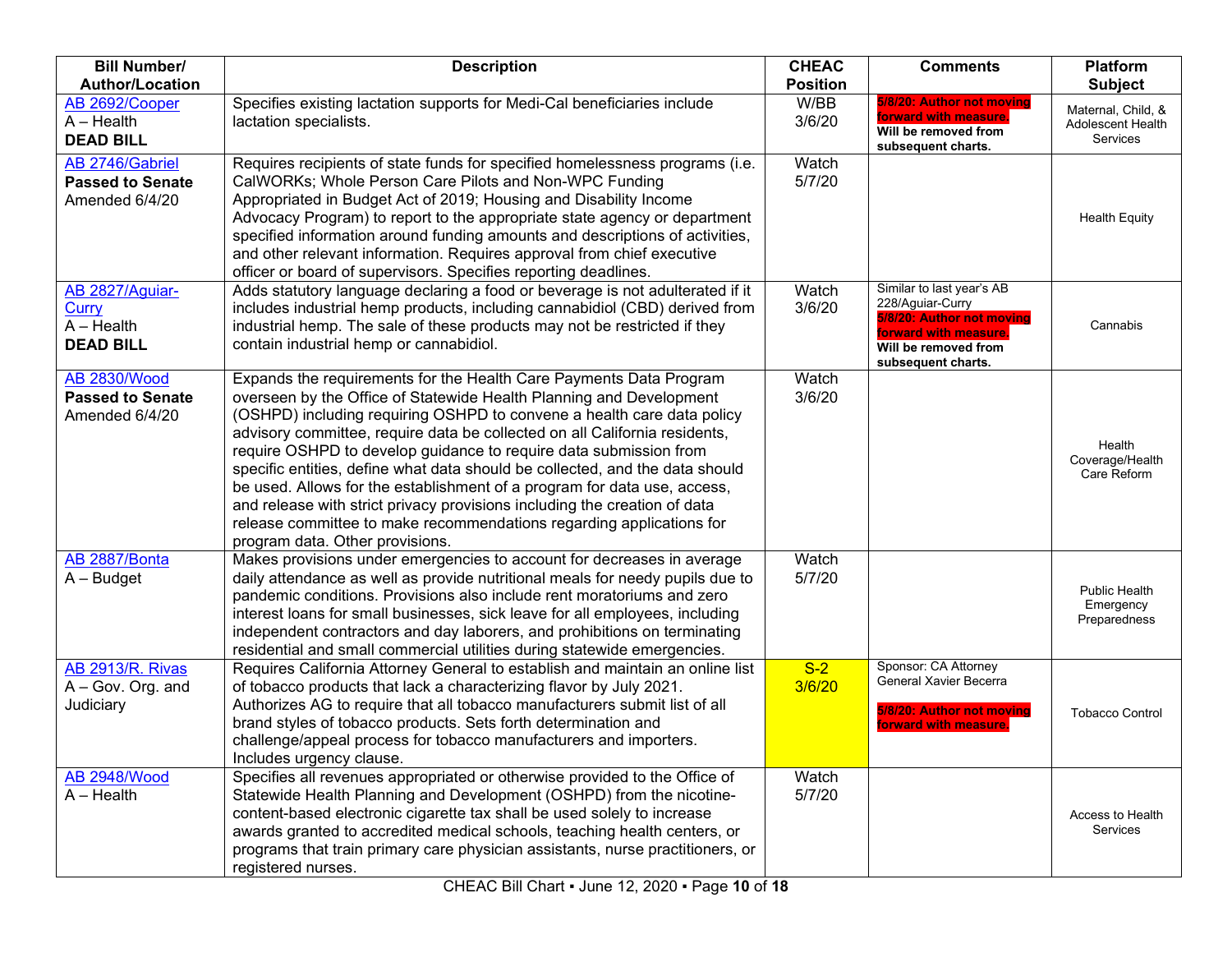| <b>Bill Number/</b>                                                 | <b>Description</b>                                                                                                                                                                                                                                                                                                                                                                                                                                                                                                                                                                                                                                                                                                         | <b>CHEAC</b>    | <b>Comments</b>                                                                                                                                   | <b>Platform</b>                                            |
|---------------------------------------------------------------------|----------------------------------------------------------------------------------------------------------------------------------------------------------------------------------------------------------------------------------------------------------------------------------------------------------------------------------------------------------------------------------------------------------------------------------------------------------------------------------------------------------------------------------------------------------------------------------------------------------------------------------------------------------------------------------------------------------------------------|-----------------|---------------------------------------------------------------------------------------------------------------------------------------------------|------------------------------------------------------------|
| <b>Author/Location</b>                                              |                                                                                                                                                                                                                                                                                                                                                                                                                                                                                                                                                                                                                                                                                                                            | <b>Position</b> |                                                                                                                                                   | <b>Subject</b>                                             |
| AB 2692/Cooper<br>$A - Health$<br><b>DEAD BILL</b>                  | Specifies existing lactation supports for Medi-Cal beneficiaries include<br>lactation specialists.                                                                                                                                                                                                                                                                                                                                                                                                                                                                                                                                                                                                                         | W/BB<br>3/6/20  | 5/8/20: Author not moving<br>forward with measure.<br>Will be removed from<br>subsequent charts.                                                  | Maternal, Child, &<br>Adolescent Health<br><b>Services</b> |
| AB 2746/Gabriel<br><b>Passed to Senate</b><br>Amended 6/4/20        | Requires recipients of state funds for specified homelessness programs (i.e.<br>CalWORKs; Whole Person Care Pilots and Non-WPC Funding<br>Appropriated in Budget Act of 2019; Housing and Disability Income<br>Advocacy Program) to report to the appropriate state agency or department<br>specified information around funding amounts and descriptions of activities,<br>and other relevant information. Requires approval from chief executive<br>officer or board of supervisors. Specifies reporting deadlines.                                                                                                                                                                                                      | Watch<br>5/7/20 |                                                                                                                                                   | <b>Health Equity</b>                                       |
| AB 2827/Aguiar-<br><b>Curry</b><br>$A - Health$<br><b>DEAD BILL</b> | Adds statutory language declaring a food or beverage is not adulterated if it<br>includes industrial hemp products, including cannabidiol (CBD) derived from<br>industrial hemp. The sale of these products may not be restricted if they<br>contain industrial hemp or cannabidiol.                                                                                                                                                                                                                                                                                                                                                                                                                                       | Watch<br>3/6/20 | Similar to last year's AB<br>228/Aguiar-Curry<br>5/8/20: Author not moving<br>forward with measure.<br>Will be removed from<br>subsequent charts. | Cannabis                                                   |
| <b>AB 2830/Wood</b><br><b>Passed to Senate</b><br>Amended 6/4/20    | Expands the requirements for the Health Care Payments Data Program<br>overseen by the Office of Statewide Health Planning and Development<br>(OSHPD) including requiring OSHPD to convene a health care data policy<br>advisory committee, require data be collected on all California residents,<br>require OSHPD to develop guidance to require data submission from<br>specific entities, define what data should be collected, and the data should<br>be used. Allows for the establishment of a program for data use, access,<br>and release with strict privacy provisions including the creation of data<br>release committee to make recommendations regarding applications for<br>program data. Other provisions. | Watch<br>3/6/20 |                                                                                                                                                   | Health<br>Coverage/Health<br>Care Reform                   |
| AB 2887/Bonta<br>$A - Budget$                                       | Makes provisions under emergencies to account for decreases in average<br>daily attendance as well as provide nutritional meals for needy pupils due to<br>pandemic conditions. Provisions also include rent moratoriums and zero<br>interest loans for small businesses, sick leave for all employees, including<br>independent contractors and day laborers, and prohibitions on terminating<br>residential and small commercial utilities during statewide emergencies.                                                                                                                                                                                                                                                 | Watch<br>5/7/20 |                                                                                                                                                   | <b>Public Health</b><br>Emergency<br>Preparedness          |
| <b>AB 2913/R. Rivas</b><br>A - Gov. Org. and<br>Judiciary           | Requires California Attorney General to establish and maintain an online list<br>of tobacco products that lack a characterizing flavor by July 2021.<br>Authorizes AG to require that all tobacco manufacturers submit list of all<br>brand styles of tobacco products. Sets forth determination and<br>challenge/appeal process for tobacco manufacturers and importers.<br>Includes urgency clause.                                                                                                                                                                                                                                                                                                                      | $S-2$<br>3/6/20 | Sponsor: CA Attorney<br>General Xavier Becerra<br>5/8/20: Author not moving<br>forward with measure                                               | <b>Tobacco Control</b>                                     |
| <b>AB 2948/Wood</b><br>$A - Health$                                 | Specifies all revenues appropriated or otherwise provided to the Office of<br>Statewide Health Planning and Development (OSHPD) from the nicotine-<br>content-based electronic cigarette tax shall be used solely to increase<br>awards granted to accredited medical schools, teaching health centers, or<br>programs that train primary care physician assistants, nurse practitioners, or<br>registered nurses.                                                                                                                                                                                                                                                                                                         | Watch<br>5/7/20 |                                                                                                                                                   | Access to Health<br>Services                               |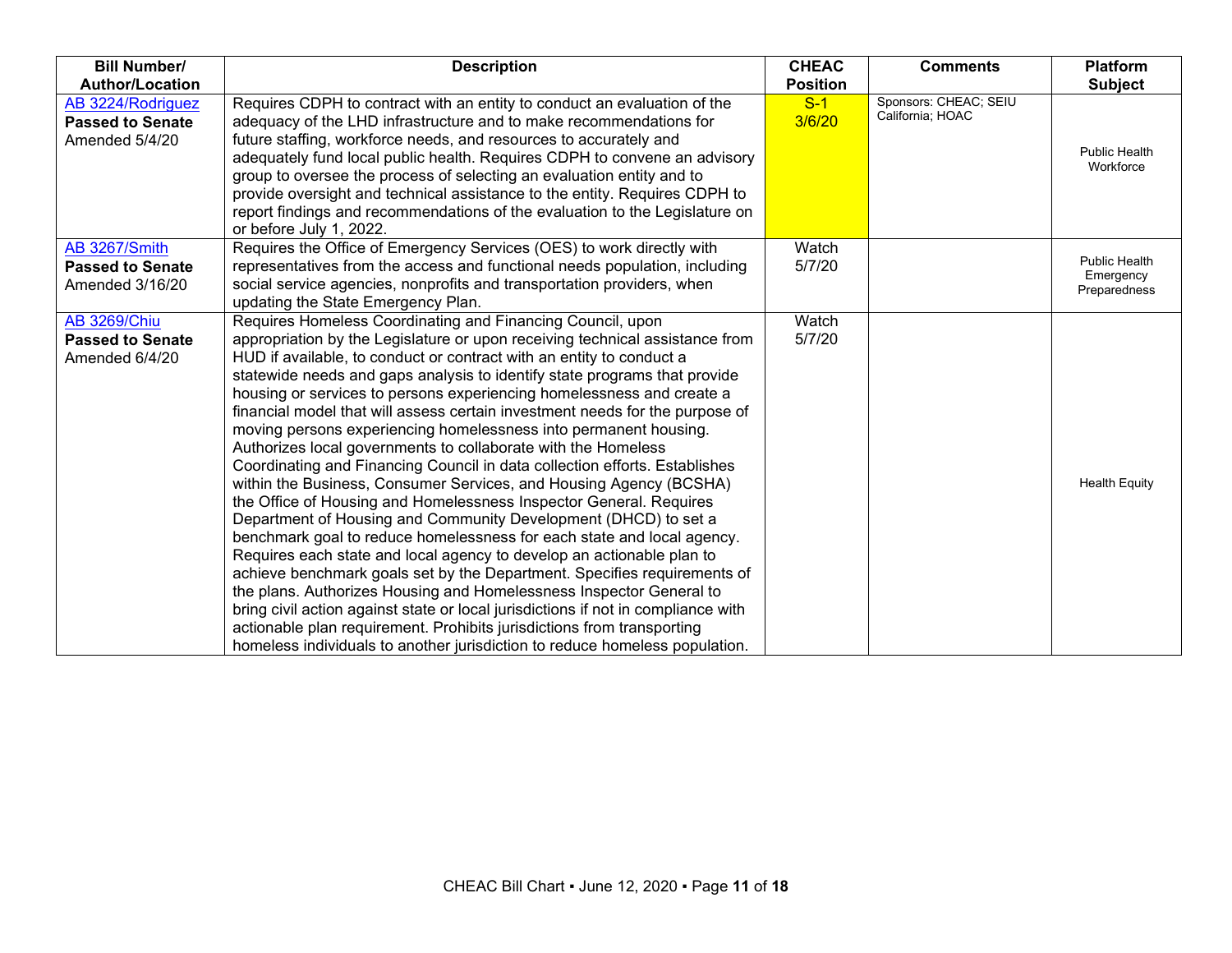| <b>Bill Number/</b>                                              | <b>Description</b>                                                                                                                                                                                                                                                                                                                                                                                                                                                                                                                                                                                                                                                                                                                                                                                                                                                                                                                                                                                                                                                                                                                                                                                                                                                                                                                                                                                                                             | <b>CHEAC</b>    | <b>Comments</b>                           | <b>Platform</b>                                   |
|------------------------------------------------------------------|------------------------------------------------------------------------------------------------------------------------------------------------------------------------------------------------------------------------------------------------------------------------------------------------------------------------------------------------------------------------------------------------------------------------------------------------------------------------------------------------------------------------------------------------------------------------------------------------------------------------------------------------------------------------------------------------------------------------------------------------------------------------------------------------------------------------------------------------------------------------------------------------------------------------------------------------------------------------------------------------------------------------------------------------------------------------------------------------------------------------------------------------------------------------------------------------------------------------------------------------------------------------------------------------------------------------------------------------------------------------------------------------------------------------------------------------|-----------------|-------------------------------------------|---------------------------------------------------|
| <b>Author/Location</b>                                           |                                                                                                                                                                                                                                                                                                                                                                                                                                                                                                                                                                                                                                                                                                                                                                                                                                                                                                                                                                                                                                                                                                                                                                                                                                                                                                                                                                                                                                                | <b>Position</b> |                                           | <b>Subject</b>                                    |
| AB 3224/Rodriguez<br><b>Passed to Senate</b><br>Amended 5/4/20   | Requires CDPH to contract with an entity to conduct an evaluation of the<br>adequacy of the LHD infrastructure and to make recommendations for<br>future staffing, workforce needs, and resources to accurately and<br>adequately fund local public health. Requires CDPH to convene an advisory<br>group to oversee the process of selecting an evaluation entity and to<br>provide oversight and technical assistance to the entity. Requires CDPH to<br>report findings and recommendations of the evaluation to the Legislature on<br>or before July 1, 2022.                                                                                                                                                                                                                                                                                                                                                                                                                                                                                                                                                                                                                                                                                                                                                                                                                                                                              | $S-1$<br>3/6/20 | Sponsors: CHEAC; SEIU<br>California; HOAC | <b>Public Health</b><br>Workforce                 |
| AB 3267/Smith<br><b>Passed to Senate</b><br>Amended 3/16/20      | Requires the Office of Emergency Services (OES) to work directly with<br>representatives from the access and functional needs population, including<br>social service agencies, nonprofits and transportation providers, when<br>updating the State Emergency Plan.                                                                                                                                                                                                                                                                                                                                                                                                                                                                                                                                                                                                                                                                                                                                                                                                                                                                                                                                                                                                                                                                                                                                                                            | Watch<br>5/7/20 |                                           | <b>Public Health</b><br>Emergency<br>Preparedness |
| <b>AB 3269/Chiu</b><br><b>Passed to Senate</b><br>Amended 6/4/20 | Requires Homeless Coordinating and Financing Council, upon<br>appropriation by the Legislature or upon receiving technical assistance from<br>HUD if available, to conduct or contract with an entity to conduct a<br>statewide needs and gaps analysis to identify state programs that provide<br>housing or services to persons experiencing homelessness and create a<br>financial model that will assess certain investment needs for the purpose of<br>moving persons experiencing homelessness into permanent housing.<br>Authorizes local governments to collaborate with the Homeless<br>Coordinating and Financing Council in data collection efforts. Establishes<br>within the Business, Consumer Services, and Housing Agency (BCSHA)<br>the Office of Housing and Homelessness Inspector General. Requires<br>Department of Housing and Community Development (DHCD) to set a<br>benchmark goal to reduce homelessness for each state and local agency.<br>Requires each state and local agency to develop an actionable plan to<br>achieve benchmark goals set by the Department. Specifies requirements of<br>the plans. Authorizes Housing and Homelessness Inspector General to<br>bring civil action against state or local jurisdictions if not in compliance with<br>actionable plan requirement. Prohibits jurisdictions from transporting<br>homeless individuals to another jurisdiction to reduce homeless population. | Watch<br>5/7/20 |                                           | <b>Health Equity</b>                              |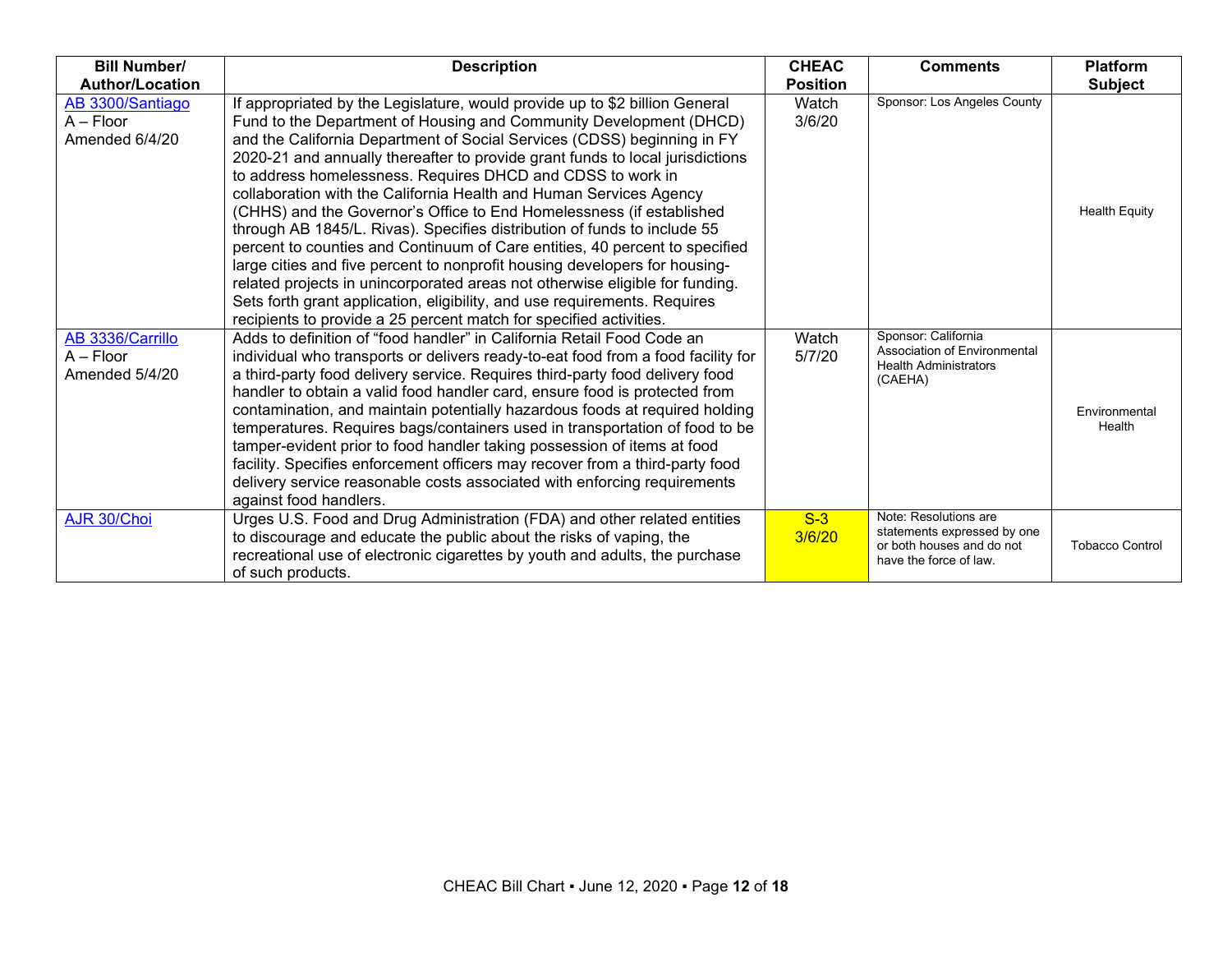| <b>Bill Number/</b>                               | <b>Description</b>                                                                                                                                                                                                                                                                                                                                                                                                                                                                                                                                                                                                                                                                                                                                                                                                                                                                                                                                                                                    | <b>CHEAC</b>    | <b>Comments</b>                                                                                             | <b>Platform</b>         |
|---------------------------------------------------|-------------------------------------------------------------------------------------------------------------------------------------------------------------------------------------------------------------------------------------------------------------------------------------------------------------------------------------------------------------------------------------------------------------------------------------------------------------------------------------------------------------------------------------------------------------------------------------------------------------------------------------------------------------------------------------------------------------------------------------------------------------------------------------------------------------------------------------------------------------------------------------------------------------------------------------------------------------------------------------------------------|-----------------|-------------------------------------------------------------------------------------------------------------|-------------------------|
| <b>Author/Location</b>                            |                                                                                                                                                                                                                                                                                                                                                                                                                                                                                                                                                                                                                                                                                                                                                                                                                                                                                                                                                                                                       | <b>Position</b> |                                                                                                             | <b>Subject</b>          |
| AB 3300/Santiago<br>$A - Floor$<br>Amended 6/4/20 | If appropriated by the Legislature, would provide up to \$2 billion General<br>Fund to the Department of Housing and Community Development (DHCD)<br>and the California Department of Social Services (CDSS) beginning in FY<br>2020-21 and annually thereafter to provide grant funds to local jurisdictions<br>to address homelessness. Requires DHCD and CDSS to work in<br>collaboration with the California Health and Human Services Agency<br>(CHHS) and the Governor's Office to End Homelessness (if established<br>through AB 1845/L. Rivas). Specifies distribution of funds to include 55<br>percent to counties and Continuum of Care entities, 40 percent to specified<br>large cities and five percent to nonprofit housing developers for housing-<br>related projects in unincorporated areas not otherwise eligible for funding.<br>Sets forth grant application, eligibility, and use requirements. Requires<br>recipients to provide a 25 percent match for specified activities. | Watch<br>3/6/20 | Sponsor: Los Angeles County                                                                                 | <b>Health Equity</b>    |
| AB 3336/Carrillo<br>$A - Floor$<br>Amended 5/4/20 | Adds to definition of "food handler" in California Retail Food Code an<br>individual who transports or delivers ready-to-eat food from a food facility for<br>a third-party food delivery service. Requires third-party food delivery food<br>handler to obtain a valid food handler card, ensure food is protected from<br>contamination, and maintain potentially hazardous foods at required holding<br>temperatures. Requires bags/containers used in transportation of food to be<br>tamper-evident prior to food handler taking possession of items at food<br>facility. Specifies enforcement officers may recover from a third-party food<br>delivery service reasonable costs associated with enforcing requirements<br>against food handlers.                                                                                                                                                                                                                                               | Watch<br>5/7/20 | Sponsor: California<br>Association of Environmental<br><b>Health Administrators</b><br>(CAEHA)              | Environmental<br>Health |
| AJR 30/Choi                                       | Urges U.S. Food and Drug Administration (FDA) and other related entities<br>to discourage and educate the public about the risks of vaping, the<br>recreational use of electronic cigarettes by youth and adults, the purchase<br>of such products.                                                                                                                                                                                                                                                                                                                                                                                                                                                                                                                                                                                                                                                                                                                                                   | $S-3$<br>3/6/20 | Note: Resolutions are<br>statements expressed by one<br>or both houses and do not<br>have the force of law. | <b>Tobacco Control</b>  |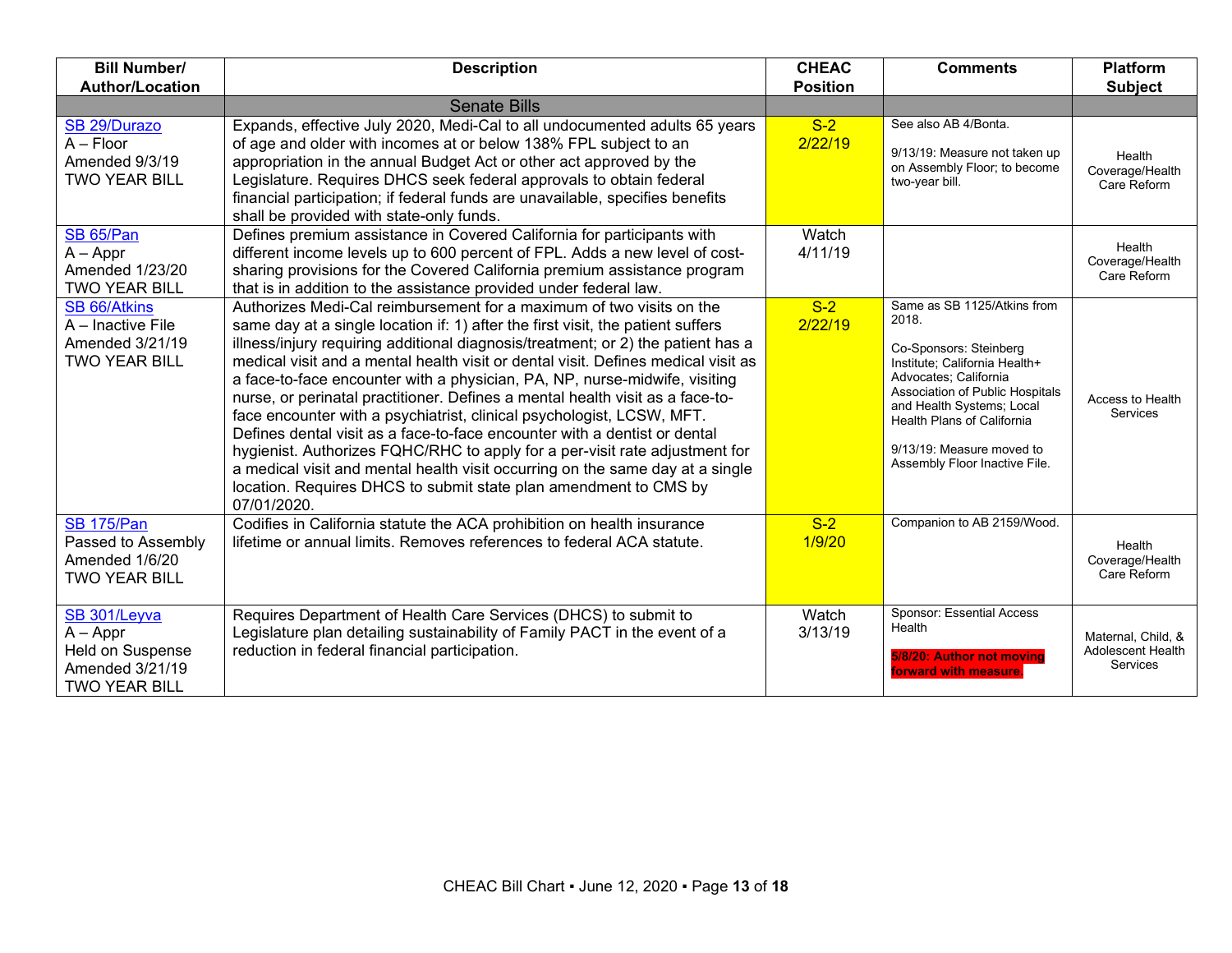| <b>Author/Location</b><br><b>Position</b><br><b>Subject</b><br><b>Senate Bills</b><br>See also AB 4/Bonta.<br>$S-2$<br>Expands, effective July 2020, Medi-Cal to all undocumented adults 65 years<br>SB 29/Durazo<br>2/22/19<br>$A - Floor$<br>of age and older with incomes at or below 138% FPL subject to an<br>9/13/19: Measure not taken up<br>Health<br>Amended 9/3/19<br>appropriation in the annual Budget Act or other act approved by the<br>on Assembly Floor; to become<br>Coverage/Health<br>Legislature. Requires DHCS seek federal approvals to obtain federal<br><b>TWO YEAR BILL</b><br>two-year bill.<br>Care Reform<br>financial participation; if federal funds are unavailable, specifies benefits |  |
|-------------------------------------------------------------------------------------------------------------------------------------------------------------------------------------------------------------------------------------------------------------------------------------------------------------------------------------------------------------------------------------------------------------------------------------------------------------------------------------------------------------------------------------------------------------------------------------------------------------------------------------------------------------------------------------------------------------------------|--|
|                                                                                                                                                                                                                                                                                                                                                                                                                                                                                                                                                                                                                                                                                                                         |  |
|                                                                                                                                                                                                                                                                                                                                                                                                                                                                                                                                                                                                                                                                                                                         |  |
|                                                                                                                                                                                                                                                                                                                                                                                                                                                                                                                                                                                                                                                                                                                         |  |
|                                                                                                                                                                                                                                                                                                                                                                                                                                                                                                                                                                                                                                                                                                                         |  |
|                                                                                                                                                                                                                                                                                                                                                                                                                                                                                                                                                                                                                                                                                                                         |  |
| shall be provided with state-only funds.                                                                                                                                                                                                                                                                                                                                                                                                                                                                                                                                                                                                                                                                                |  |
| SB 65/Pan<br>Defines premium assistance in Covered California for participants with<br>Watch<br>Health                                                                                                                                                                                                                                                                                                                                                                                                                                                                                                                                                                                                                  |  |
| $A - Appr$<br>different income levels up to 600 percent of FPL. Adds a new level of cost-<br>4/11/19<br>Coverage/Health                                                                                                                                                                                                                                                                                                                                                                                                                                                                                                                                                                                                 |  |
| sharing provisions for the Covered California premium assistance program<br>Amended 1/23/20<br>Care Reform<br><b>TWO YEAR BILL</b><br>that is in addition to the assistance provided under federal law.                                                                                                                                                                                                                                                                                                                                                                                                                                                                                                                 |  |
| Same as SB 1125/Atkins from<br>$S-2$<br>SB 66/Atkins<br>Authorizes Medi-Cal reimbursement for a maximum of two visits on the<br>2018.                                                                                                                                                                                                                                                                                                                                                                                                                                                                                                                                                                                   |  |
| 2/22/19<br>A - Inactive File<br>same day at a single location if: 1) after the first visit, the patient suffers                                                                                                                                                                                                                                                                                                                                                                                                                                                                                                                                                                                                         |  |
| Amended 3/21/19<br>illness/injury requiring additional diagnosis/treatment; or 2) the patient has a<br>Co-Sponsors: Steinberg<br>medical visit and a mental health visit or dental visit. Defines medical visit as<br><b>TWO YEAR BILL</b><br>Institute: California Health+                                                                                                                                                                                                                                                                                                                                                                                                                                             |  |
| Advocates; California<br>a face-to-face encounter with a physician, PA, NP, nurse-midwife, visiting                                                                                                                                                                                                                                                                                                                                                                                                                                                                                                                                                                                                                     |  |
| Association of Public Hospitals<br>nurse, or perinatal practitioner. Defines a mental health visit as a face-to-<br>Access to Health<br>and Health Systems; Local                                                                                                                                                                                                                                                                                                                                                                                                                                                                                                                                                       |  |
| <b>Services</b><br>face encounter with a psychiatrist, clinical psychologist, LCSW, MFT.<br>Health Plans of California                                                                                                                                                                                                                                                                                                                                                                                                                                                                                                                                                                                                  |  |
| Defines dental visit as a face-to-face encounter with a dentist or dental<br>9/13/19: Measure moved to<br>hygienist. Authorizes FQHC/RHC to apply for a per-visit rate adjustment for                                                                                                                                                                                                                                                                                                                                                                                                                                                                                                                                   |  |
| Assembly Floor Inactive File.<br>a medical visit and mental health visit occurring on the same day at a single                                                                                                                                                                                                                                                                                                                                                                                                                                                                                                                                                                                                          |  |
| location. Requires DHCS to submit state plan amendment to CMS by                                                                                                                                                                                                                                                                                                                                                                                                                                                                                                                                                                                                                                                        |  |
| 07/01/2020.                                                                                                                                                                                                                                                                                                                                                                                                                                                                                                                                                                                                                                                                                                             |  |
| Companion to AB 2159/Wood.<br><b>SB 175/Pan</b><br>$S-2$<br>Codifies in California statute the ACA prohibition on health insurance                                                                                                                                                                                                                                                                                                                                                                                                                                                                                                                                                                                      |  |
| lifetime or annual limits. Removes references to federal ACA statute.<br>1/9/20<br>Passed to Assembly<br>Health                                                                                                                                                                                                                                                                                                                                                                                                                                                                                                                                                                                                         |  |
| Amended 1/6/20<br>Coverage/Health<br>Care Reform<br><b>TWO YEAR BILL</b>                                                                                                                                                                                                                                                                                                                                                                                                                                                                                                                                                                                                                                                |  |
|                                                                                                                                                                                                                                                                                                                                                                                                                                                                                                                                                                                                                                                                                                                         |  |
| Sponsor: Essential Access<br>Requires Department of Health Care Services (DHCS) to submit to<br>SB 301/Leyva<br>Watch                                                                                                                                                                                                                                                                                                                                                                                                                                                                                                                                                                                                   |  |
| Health<br>$A - Appr$<br>3/13/19<br>Legislature plan detailing sustainability of Family PACT in the event of a<br>Maternal, Child, &                                                                                                                                                                                                                                                                                                                                                                                                                                                                                                                                                                                     |  |
| reduction in federal financial participation.<br>Held on Suspense<br><b>Adolescent Health</b><br>5/8/20: Author not moving<br><b>Services</b>                                                                                                                                                                                                                                                                                                                                                                                                                                                                                                                                                                           |  |
| Amended 3/21/19<br>forward with measure<br><b>TWO YEAR BILL</b>                                                                                                                                                                                                                                                                                                                                                                                                                                                                                                                                                                                                                                                         |  |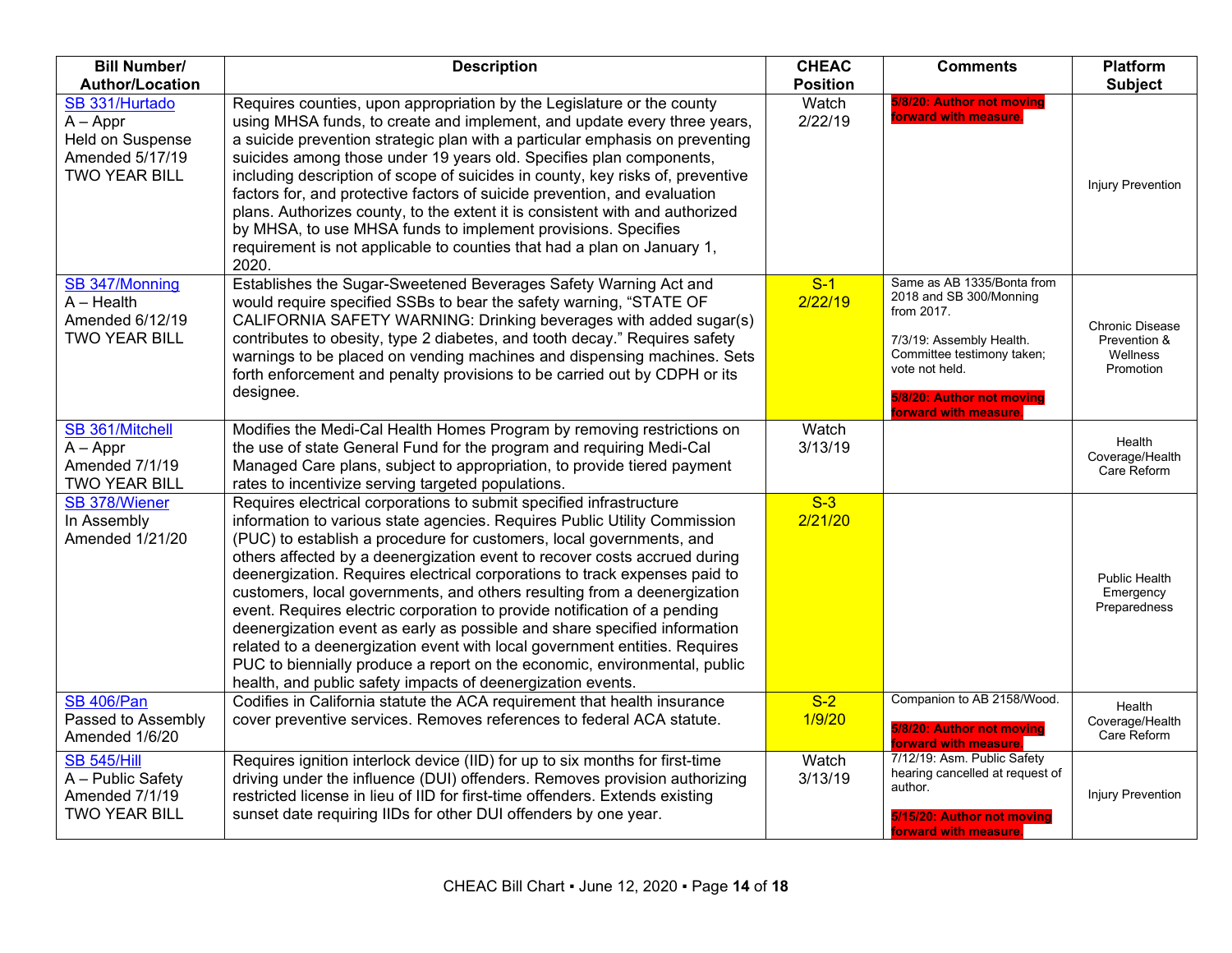| <b>Bill Number/</b>                                                                         | <b>Description</b>                                                                                                                                                                                                                                                                                                                                                                                                                                                                                                                                                                                                                                                                                                                                                                                                                                  | <b>CHEAC</b>     | <b>Comments</b>                                                                                                                                                                                      | <b>Platform</b>                                                 |
|---------------------------------------------------------------------------------------------|-----------------------------------------------------------------------------------------------------------------------------------------------------------------------------------------------------------------------------------------------------------------------------------------------------------------------------------------------------------------------------------------------------------------------------------------------------------------------------------------------------------------------------------------------------------------------------------------------------------------------------------------------------------------------------------------------------------------------------------------------------------------------------------------------------------------------------------------------------|------------------|------------------------------------------------------------------------------------------------------------------------------------------------------------------------------------------------------|-----------------------------------------------------------------|
| <b>Author/Location</b>                                                                      |                                                                                                                                                                                                                                                                                                                                                                                                                                                                                                                                                                                                                                                                                                                                                                                                                                                     |                  |                                                                                                                                                                                                      | <b>Subject</b>                                                  |
| SB 331/Hurtado<br>$A - Appr$<br>Held on Suspense<br>Amended 5/17/19<br><b>TWO YEAR BILL</b> | Requires counties, upon appropriation by the Legislature or the county<br>using MHSA funds, to create and implement, and update every three years,<br>a suicide prevention strategic plan with a particular emphasis on preventing<br>suicides among those under 19 years old. Specifies plan components,<br>including description of scope of suicides in county, key risks of, preventive<br>factors for, and protective factors of suicide prevention, and evaluation<br>plans. Authorizes county, to the extent it is consistent with and authorized<br>by MHSA, to use MHSA funds to implement provisions. Specifies<br>requirement is not applicable to counties that had a plan on January 1,<br>2020.                                                                                                                                       | Watch<br>2/22/19 | 5/8/20: Author not moving<br>forward with measure.                                                                                                                                                   | <b>Injury Prevention</b>                                        |
| SB 347/Monning<br>$A - Health$<br>Amended 6/12/19<br><b>TWO YEAR BILL</b>                   | Establishes the Sugar-Sweetened Beverages Safety Warning Act and<br>would require specified SSBs to bear the safety warning, "STATE OF<br>CALIFORNIA SAFETY WARNING: Drinking beverages with added sugar(s)<br>contributes to obesity, type 2 diabetes, and tooth decay." Requires safety<br>warnings to be placed on vending machines and dispensing machines. Sets<br>forth enforcement and penalty provisions to be carried out by CDPH or its<br>designee.                                                                                                                                                                                                                                                                                                                                                                                      | $S-1$<br>2/22/19 | Same as AB 1335/Bonta from<br>2018 and SB 300/Monning<br>from 2017.<br>7/3/19: Assembly Health.<br>Committee testimony taken;<br>vote not held.<br>5/8/20: Author not moving<br>forward with measure | <b>Chronic Disease</b><br>Prevention &<br>Wellness<br>Promotion |
| SB 361/Mitchell<br>$A - Appr$<br>Amended 7/1/19<br><b>TWO YEAR BILL</b>                     | Modifies the Medi-Cal Health Homes Program by removing restrictions on<br>the use of state General Fund for the program and requiring Medi-Cal<br>Managed Care plans, subject to appropriation, to provide tiered payment<br>rates to incentivize serving targeted populations.                                                                                                                                                                                                                                                                                                                                                                                                                                                                                                                                                                     | Watch<br>3/13/19 |                                                                                                                                                                                                      | Health<br>Coverage/Health<br>Care Reform                        |
| SB 378/Wiener<br>In Assembly<br>Amended 1/21/20                                             | Requires electrical corporations to submit specified infrastructure<br>information to various state agencies. Requires Public Utility Commission<br>(PUC) to establish a procedure for customers, local governments, and<br>others affected by a deenergization event to recover costs accrued during<br>deenergization. Requires electrical corporations to track expenses paid to<br>customers, local governments, and others resulting from a deenergization<br>event. Requires electric corporation to provide notification of a pending<br>deenergization event as early as possible and share specified information<br>related to a deenergization event with local government entities. Requires<br>PUC to biennially produce a report on the economic, environmental, public<br>health, and public safety impacts of deenergization events. | $S-3$<br>2/21/20 |                                                                                                                                                                                                      | Public Health<br>Emergency<br>Preparedness                      |
| <b>SB 406/Pan</b><br>Passed to Assembly<br>Amended 1/6/20                                   | Codifies in California statute the ACA requirement that health insurance<br>cover preventive services. Removes references to federal ACA statute.                                                                                                                                                                                                                                                                                                                                                                                                                                                                                                                                                                                                                                                                                                   | $S-2$<br>1/9/20  | Companion to AB 2158/Wood.<br>5/8/20: Author not moving<br>forward with measure.                                                                                                                     | Health<br>Coverage/Health<br>Care Reform                        |
| <b>SB 545/Hill</b><br>A - Public Safety<br>Amended 7/1/19<br><b>TWO YEAR BILL</b>           | Requires ignition interlock device (IID) for up to six months for first-time<br>driving under the influence (DUI) offenders. Removes provision authorizing<br>restricted license in lieu of IID for first-time offenders. Extends existing<br>sunset date requiring IIDs for other DUI offenders by one year.                                                                                                                                                                                                                                                                                                                                                                                                                                                                                                                                       | Watch<br>3/13/19 | 7/12/19: Asm. Public Safety<br>hearing cancelled at request of<br>author.<br>5/15/20: Author not moving<br>forward with measure.                                                                     | <b>Injury Prevention</b>                                        |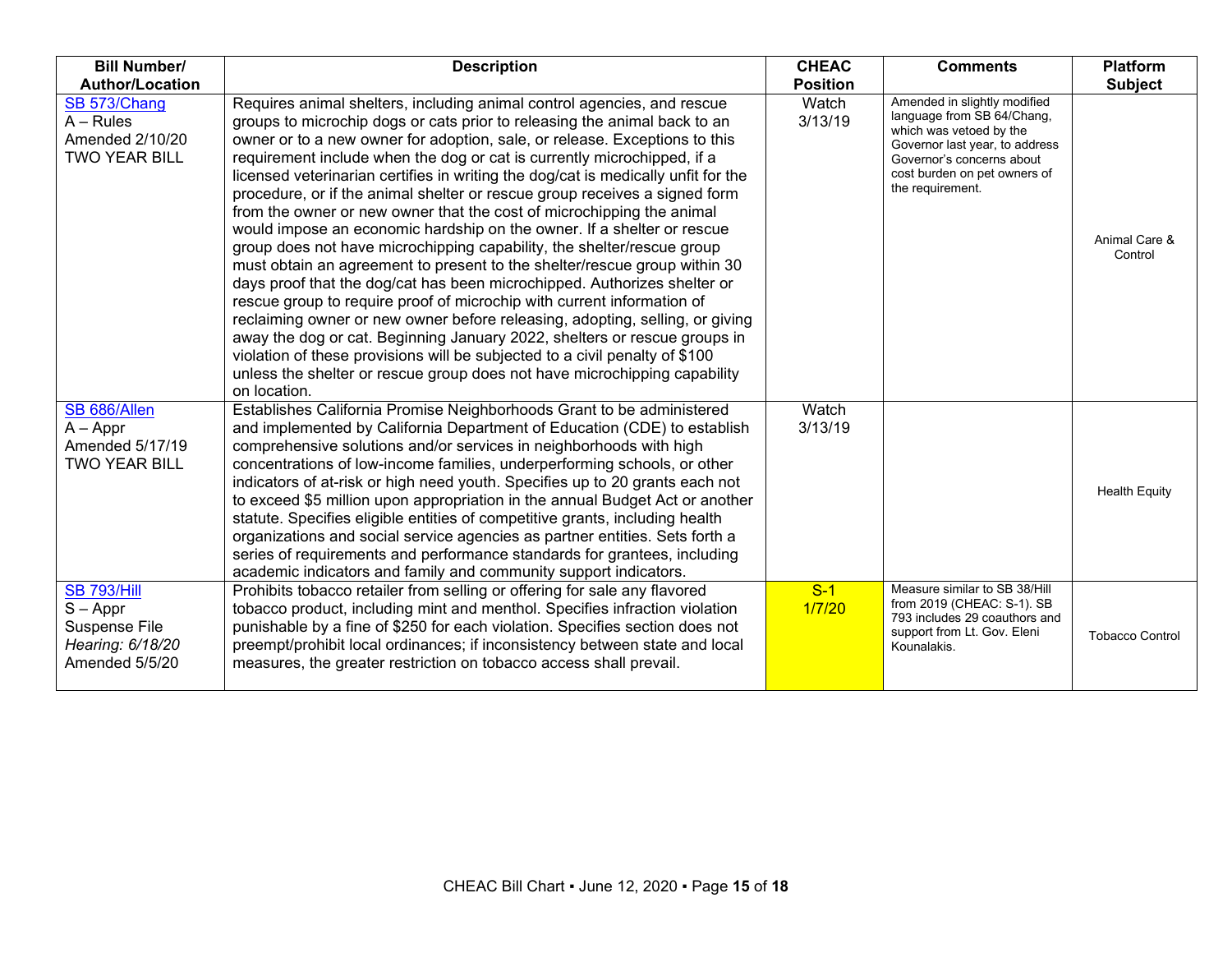| <b>Bill Number/</b>                                                                     | <b>Description</b>                                                                                                                                                                                                                                                                                                                                                                                                                                                                                                                                                                                                                                                                                                                                                                                                                                                                                                                                                                                                                                                                                                                                                                                                                                                                        | <b>CHEAC</b>     | <b>Comments</b>                                                                                                                                                                                          | <b>Platform</b>          |
|-----------------------------------------------------------------------------------------|-------------------------------------------------------------------------------------------------------------------------------------------------------------------------------------------------------------------------------------------------------------------------------------------------------------------------------------------------------------------------------------------------------------------------------------------------------------------------------------------------------------------------------------------------------------------------------------------------------------------------------------------------------------------------------------------------------------------------------------------------------------------------------------------------------------------------------------------------------------------------------------------------------------------------------------------------------------------------------------------------------------------------------------------------------------------------------------------------------------------------------------------------------------------------------------------------------------------------------------------------------------------------------------------|------------------|----------------------------------------------------------------------------------------------------------------------------------------------------------------------------------------------------------|--------------------------|
| <b>Author/Location</b>                                                                  |                                                                                                                                                                                                                                                                                                                                                                                                                                                                                                                                                                                                                                                                                                                                                                                                                                                                                                                                                                                                                                                                                                                                                                                                                                                                                           | <b>Position</b>  |                                                                                                                                                                                                          | <b>Subject</b>           |
| SB 573/Chang<br>$A - Rules$<br>Amended 2/10/20<br><b>TWO YEAR BILL</b>                  | Requires animal shelters, including animal control agencies, and rescue<br>groups to microchip dogs or cats prior to releasing the animal back to an<br>owner or to a new owner for adoption, sale, or release. Exceptions to this<br>requirement include when the dog or cat is currently microchipped, if a<br>licensed veterinarian certifies in writing the dog/cat is medically unfit for the<br>procedure, or if the animal shelter or rescue group receives a signed form<br>from the owner or new owner that the cost of microchipping the animal<br>would impose an economic hardship on the owner. If a shelter or rescue<br>group does not have microchipping capability, the shelter/rescue group<br>must obtain an agreement to present to the shelter/rescue group within 30<br>days proof that the dog/cat has been microchipped. Authorizes shelter or<br>rescue group to require proof of microchip with current information of<br>reclaiming owner or new owner before releasing, adopting, selling, or giving<br>away the dog or cat. Beginning January 2022, shelters or rescue groups in<br>violation of these provisions will be subjected to a civil penalty of \$100<br>unless the shelter or rescue group does not have microchipping capability<br>on location. | Watch<br>3/13/19 | Amended in slightly modified<br>language from SB 64/Chang,<br>which was vetoed by the<br>Governor last year, to address<br>Governor's concerns about<br>cost burden on pet owners of<br>the requirement. | Animal Care &<br>Control |
| SB 686/Allen<br>$A - Appr$<br>Amended 5/17/19<br><b>TWO YEAR BILL</b>                   | Establishes California Promise Neighborhoods Grant to be administered<br>and implemented by California Department of Education (CDE) to establish<br>comprehensive solutions and/or services in neighborhoods with high<br>concentrations of low-income families, underperforming schools, or other<br>indicators of at-risk or high need youth. Specifies up to 20 grants each not<br>to exceed \$5 million upon appropriation in the annual Budget Act or another<br>statute. Specifies eligible entities of competitive grants, including health<br>organizations and social service agencies as partner entities. Sets forth a<br>series of requirements and performance standards for grantees, including<br>academic indicators and family and community support indicators.                                                                                                                                                                                                                                                                                                                                                                                                                                                                                                        | Watch<br>3/13/19 |                                                                                                                                                                                                          | <b>Health Equity</b>     |
| <b>SB 793/Hill</b><br>$S - Appr$<br>Suspense File<br>Hearing: 6/18/20<br>Amended 5/5/20 | Prohibits tobacco retailer from selling or offering for sale any flavored<br>tobacco product, including mint and menthol. Specifies infraction violation<br>punishable by a fine of \$250 for each violation. Specifies section does not<br>preempt/prohibit local ordinances; if inconsistency between state and local<br>measures, the greater restriction on tobacco access shall prevail.                                                                                                                                                                                                                                                                                                                                                                                                                                                                                                                                                                                                                                                                                                                                                                                                                                                                                             | $S-1$<br>1/7/20  | Measure similar to SB 38/Hill<br>from 2019 (CHEAC: S-1). SB<br>793 includes 29 coauthors and<br>support from Lt. Gov. Eleni<br>Kounalakis.                                                               | <b>Tobacco Control</b>   |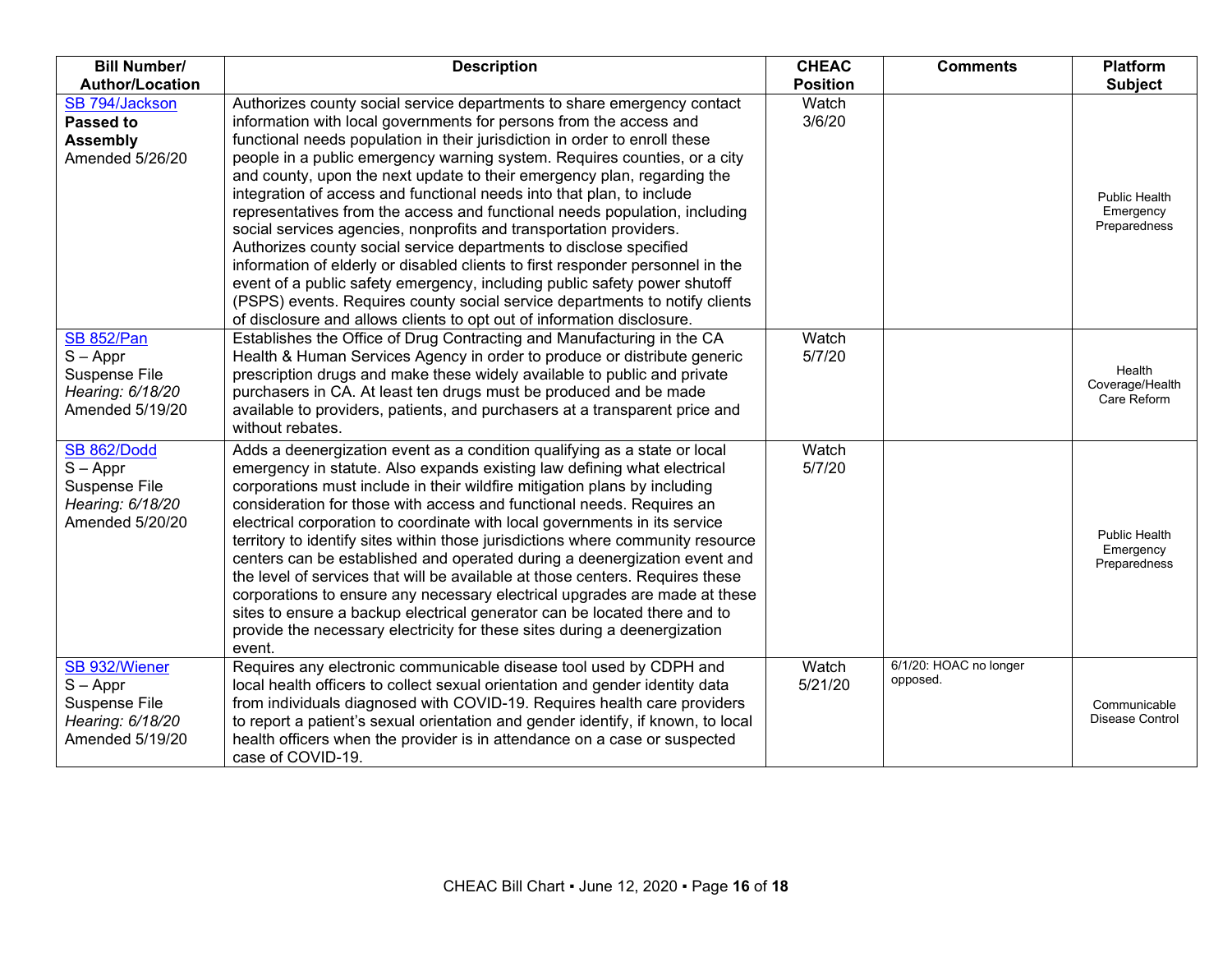| <b>Bill Number/</b>                                                                      | <b>Description</b>                                                                                                                                                                                                                                                                                                                                                                                                                                                                                                                                                                                                                                                                                                                                                                                                                                                                                                                                                                                             | <b>CHEAC</b>     | <b>Comments</b>                    | Platform                                          |
|------------------------------------------------------------------------------------------|----------------------------------------------------------------------------------------------------------------------------------------------------------------------------------------------------------------------------------------------------------------------------------------------------------------------------------------------------------------------------------------------------------------------------------------------------------------------------------------------------------------------------------------------------------------------------------------------------------------------------------------------------------------------------------------------------------------------------------------------------------------------------------------------------------------------------------------------------------------------------------------------------------------------------------------------------------------------------------------------------------------|------------------|------------------------------------|---------------------------------------------------|
| <b>Author/Location</b>                                                                   |                                                                                                                                                                                                                                                                                                                                                                                                                                                                                                                                                                                                                                                                                                                                                                                                                                                                                                                                                                                                                | <b>Position</b>  |                                    | <b>Subject</b>                                    |
| SB 794/Jackson<br>Passed to<br><b>Assembly</b><br>Amended 5/26/20                        | Authorizes county social service departments to share emergency contact<br>information with local governments for persons from the access and<br>functional needs population in their jurisdiction in order to enroll these<br>people in a public emergency warning system. Requires counties, or a city<br>and county, upon the next update to their emergency plan, regarding the<br>integration of access and functional needs into that plan, to include<br>representatives from the access and functional needs population, including<br>social services agencies, nonprofits and transportation providers.<br>Authorizes county social service departments to disclose specified<br>information of elderly or disabled clients to first responder personnel in the<br>event of a public safety emergency, including public safety power shutoff<br>(PSPS) events. Requires county social service departments to notify clients<br>of disclosure and allows clients to opt out of information disclosure. | Watch<br>3/6/20  |                                    | <b>Public Health</b><br>Emergency<br>Preparedness |
| <b>SB 852/Pan</b><br>$S - Appr$<br>Suspense File<br>Hearing: 6/18/20<br>Amended 5/19/20  | Establishes the Office of Drug Contracting and Manufacturing in the CA<br>Health & Human Services Agency in order to produce or distribute generic<br>prescription drugs and make these widely available to public and private<br>purchasers in CA. At least ten drugs must be produced and be made<br>available to providers, patients, and purchasers at a transparent price and<br>without rebates.                                                                                                                                                                                                                                                                                                                                                                                                                                                                                                                                                                                                         | Watch<br>5/7/20  |                                    | Health<br>Coverage/Health<br>Care Reform          |
| <b>SB 862/Dodd</b><br>$S - Appr$<br>Suspense File<br>Hearing: 6/18/20<br>Amended 5/20/20 | Adds a deenergization event as a condition qualifying as a state or local<br>emergency in statute. Also expands existing law defining what electrical<br>corporations must include in their wildfire mitigation plans by including<br>consideration for those with access and functional needs. Requires an<br>electrical corporation to coordinate with local governments in its service<br>territory to identify sites within those jurisdictions where community resource<br>centers can be established and operated during a deenergization event and<br>the level of services that will be available at those centers. Requires these<br>corporations to ensure any necessary electrical upgrades are made at these<br>sites to ensure a backup electrical generator can be located there and to<br>provide the necessary electricity for these sites during a deenergization<br>event.                                                                                                                   | Watch<br>5/7/20  |                                    | <b>Public Health</b><br>Emergency<br>Preparedness |
| SB 932/Wiener<br>$S - Appr$<br>Suspense File<br>Hearing: 6/18/20<br>Amended 5/19/20      | Requires any electronic communicable disease tool used by CDPH and<br>local health officers to collect sexual orientation and gender identity data<br>from individuals diagnosed with COVID-19. Requires health care providers<br>to report a patient's sexual orientation and gender identify, if known, to local<br>health officers when the provider is in attendance on a case or suspected<br>case of COVID-19.                                                                                                                                                                                                                                                                                                                                                                                                                                                                                                                                                                                           | Watch<br>5/21/20 | 6/1/20: HOAC no longer<br>opposed. | Communicable<br>Disease Control                   |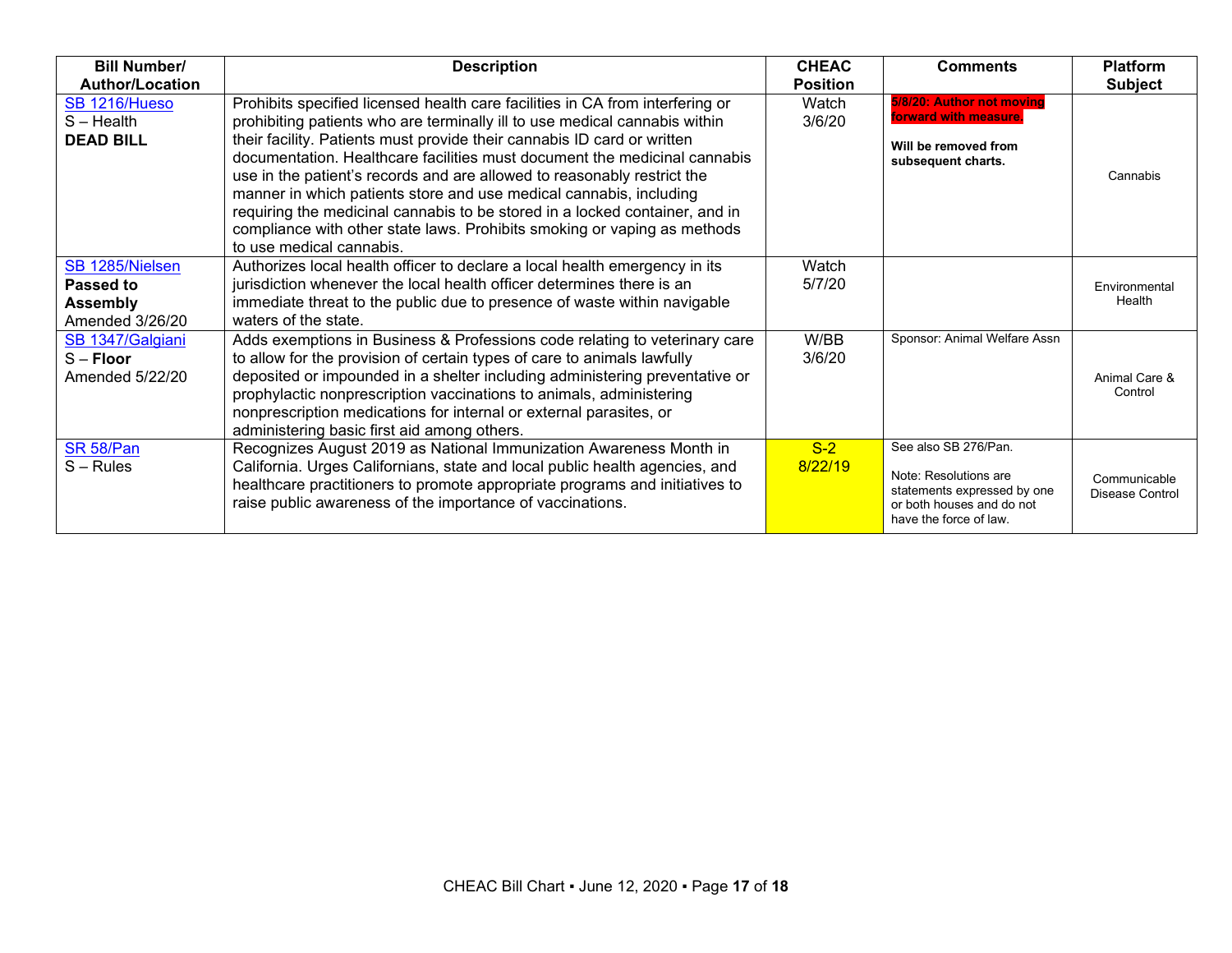| <b>Bill Number/</b>                                                | <b>Description</b>                                                                                                                                                                                                                                                                                                                                                                                                                                                                                                                                                                                                                                          | <b>CHEAC</b>     | <b>Comments</b>                                                                                                                     | <b>Platform</b>                 |
|--------------------------------------------------------------------|-------------------------------------------------------------------------------------------------------------------------------------------------------------------------------------------------------------------------------------------------------------------------------------------------------------------------------------------------------------------------------------------------------------------------------------------------------------------------------------------------------------------------------------------------------------------------------------------------------------------------------------------------------------|------------------|-------------------------------------------------------------------------------------------------------------------------------------|---------------------------------|
| <b>Author/Location</b>                                             |                                                                                                                                                                                                                                                                                                                                                                                                                                                                                                                                                                                                                                                             | <b>Position</b>  |                                                                                                                                     | <b>Subject</b>                  |
| SB 1216/Hueso<br>S-Health<br><b>DEAD BILL</b>                      | Prohibits specified licensed health care facilities in CA from interfering or<br>prohibiting patients who are terminally ill to use medical cannabis within<br>their facility. Patients must provide their cannabis ID card or written<br>documentation. Healthcare facilities must document the medicinal cannabis<br>use in the patient's records and are allowed to reasonably restrict the<br>manner in which patients store and use medical cannabis, including<br>requiring the medicinal cannabis to be stored in a locked container, and in<br>compliance with other state laws. Prohibits smoking or vaping as methods<br>to use medical cannabis. | Watch<br>3/6/20  | 5/8/20: Author not moving<br>forward with measure<br>Will be removed from<br>subsequent charts.                                     | Cannabis                        |
| SB 1285/Nielsen<br>Passed to<br><b>Assembly</b><br>Amended 3/26/20 | Authorizes local health officer to declare a local health emergency in its<br>jurisdiction whenever the local health officer determines there is an<br>immediate threat to the public due to presence of waste within navigable<br>waters of the state.                                                                                                                                                                                                                                                                                                                                                                                                     | Watch<br>5/7/20  |                                                                                                                                     | Environmental<br>Health         |
| SB 1347/Galgiani<br>$S -$ Floor<br>Amended 5/22/20                 | Adds exemptions in Business & Professions code relating to veterinary care<br>to allow for the provision of certain types of care to animals lawfully<br>deposited or impounded in a shelter including administering preventative or<br>prophylactic nonprescription vaccinations to animals, administering<br>nonprescription medications for internal or external parasites, or<br>administering basic first aid among others.                                                                                                                                                                                                                            | W/BB<br>3/6/20   | Sponsor: Animal Welfare Assn                                                                                                        | Animal Care &<br>Control        |
| SR 58/Pan<br>$S - Rules$                                           | Recognizes August 2019 as National Immunization Awareness Month in<br>California. Urges Californians, state and local public health agencies, and<br>healthcare practitioners to promote appropriate programs and initiatives to<br>raise public awareness of the importance of vaccinations.                                                                                                                                                                                                                                                                                                                                                               | $S-2$<br>8/22/19 | See also SB 276/Pan.<br>Note: Resolutions are<br>statements expressed by one<br>or both houses and do not<br>have the force of law. | Communicable<br>Disease Control |